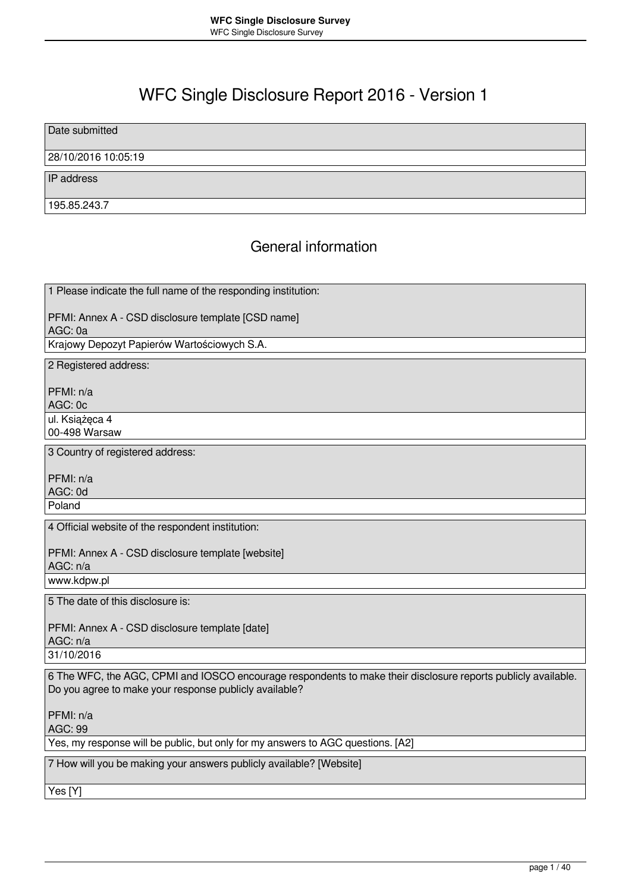# WFC Single Disclosure Report 2016 - Version 1

Date submitted

### 28/10/2016 10:05:19

IP address

195.85.243.7

### General information

1 Please indicate the full name of the responding institution:

PFMI: Annex A - CSD disclosure template [CSD name] AGC: 0a

Krajowy Depozyt Papierów Wartościowych S.A.

2 Registered address:

PFMI: n/a

AGC: 0c

ul. Książęca 4

00-498 Warsaw

3 Country of registered address:

PFMI: n/a AGC: 0d Poland

4 Official website of the respondent institution:

PFMI: Annex A - CSD disclosure template [website]

AGC: n/a www.kdpw.pl

5 The date of this disclosure is:

PFMI: Annex A - CSD disclosure template [date] AGC: n/a 31/10/2016

6 The WFC, the AGC, CPMI and IOSCO encourage respondents to make their disclosure reports publicly available. Do you agree to make your response publicly available?

PFMI: n/a

AGC: 99

Yes, my response will be public, but only for my answers to AGC questions. [A2]

7 How will you be making your answers publicly available? [Website]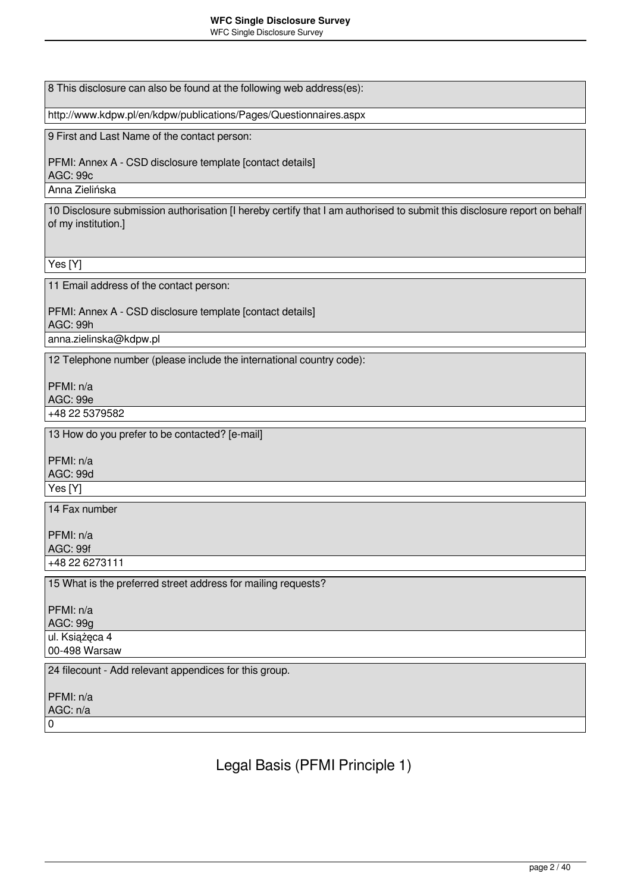8 This disclosure can also be found at the following web address(es):

http://www.kdpw.pl/en/kdpw/publications/Pages/Questionnaires.aspx

9 First and Last Name of the contact person:

PFMI: Annex A - CSD disclosure template [contact details] AGC: 99c

Anna Zielińska

10 Disclosure submission authorisation [I hereby certify that I am authorised to submit this disclosure report on behalf of my institution.]

Yes [Y]

11 Email address of the contact person:

PFMI: Annex A - CSD disclosure template [contact details] AGC: 99h

anna.zielinska@kdpw.pl

12 Telephone number (please include the international country code):

PFMI: n/a AGC: 99e +48 22 5379582

13 How do you prefer to be contacted? [e-mail]

PFMI: n/a AGC: 99d Yes [Y]

14 Fax number

PFMI: n/a AGC: 99f +48 22 6273111

15 What is the preferred street address for mailing requests?

PFMI: n/a AGC: 99g ul. Książęca 4 00-498 Warsaw 24 filecount - Add relevant appendices for this group. PFMI: n/a

AGC: n/a

 $\overline{0}$ 

Legal Basis (PFMI Principle 1)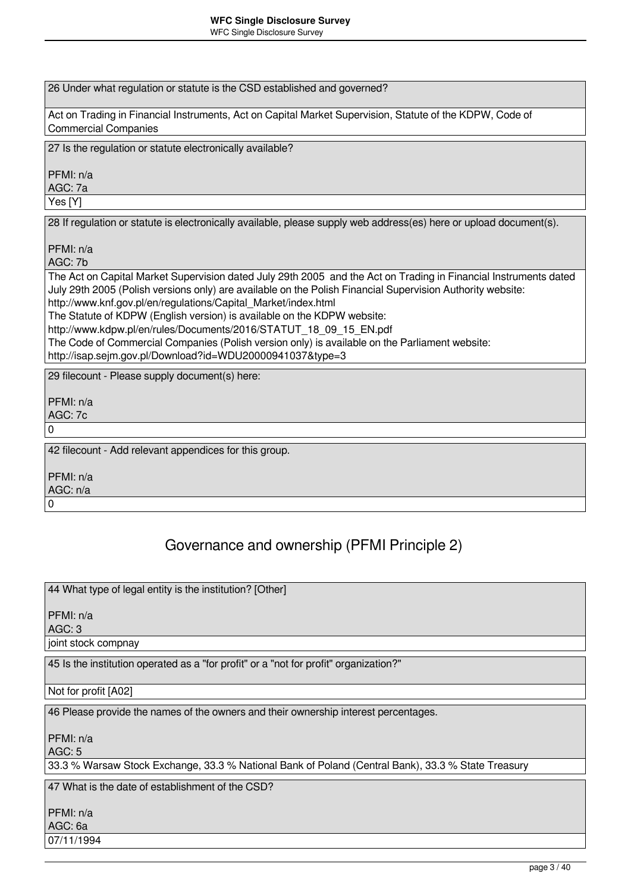#### **WFC Single Disclosure Survey** WFC Single Disclosure Survey

| 26 Under what regulation or statute is the CSD established and governed?                                                                                                                                                                                                                         |
|--------------------------------------------------------------------------------------------------------------------------------------------------------------------------------------------------------------------------------------------------------------------------------------------------|
| Act on Trading in Financial Instruments, Act on Capital Market Supervision, Statute of the KDPW, Code of<br><b>Commercial Companies</b>                                                                                                                                                          |
| 27 Is the regulation or statute electronically available?                                                                                                                                                                                                                                        |
| PFMI: n/a<br>AGC: 7a                                                                                                                                                                                                                                                                             |
| Yes [Y]                                                                                                                                                                                                                                                                                          |
| 28 If regulation or statute is electronically available, please supply web address(es) here or upload document(s).                                                                                                                                                                               |
| PFMI: n/a<br>AGC: 7b                                                                                                                                                                                                                                                                             |
| The Act on Capital Market Supervision dated July 29th 2005 and the Act on Trading in Financial Instruments dated<br>July 29th 2005 (Polish versions only) are available on the Polish Financial Supervision Authority website:<br>http://www.knf.gov.pl/en/regulations/Capital Market/index.html |
| The Statute of KDPW (English version) is available on the KDPW website:                                                                                                                                                                                                                          |
| http://www.kdpw.pl/en/rules/Documents/2016/STATUT 18 09 15 EN.pdf<br>The Code of Commercial Companies (Polish version only) is available on the Parliament website:                                                                                                                              |
| http://isap.sejm.gov.pl/Download?id=WDU20000941037&type=3                                                                                                                                                                                                                                        |
| 29 filecount - Please supply document(s) here:                                                                                                                                                                                                                                                   |
| PFMI: n/a                                                                                                                                                                                                                                                                                        |
| AGC: 7c                                                                                                                                                                                                                                                                                          |
| 0                                                                                                                                                                                                                                                                                                |
| 42 filecount - Add relevant appendices for this group.                                                                                                                                                                                                                                           |
| PFMI: n/a                                                                                                                                                                                                                                                                                        |
| AGC: n/a<br>0                                                                                                                                                                                                                                                                                    |
|                                                                                                                                                                                                                                                                                                  |

# Governance and ownership (PFMI Principle 2)

44 What type of legal entity is the institution? [Other]

PFMI: n/a

AGC: 3

joint stock compnay

45 Is the institution operated as a "for profit" or a "not for profit" organization?"

Not for profit [A02]

46 Please provide the names of the owners and their ownership interest percentages.

PFMI: n/a

AGC: 5

33.3 % Warsaw Stock Exchange, 33.3 % National Bank of Poland (Central Bank), 33.3 % State Treasury

47 What is the date of establishment of the CSD?

PFMI: n/a AGC: 6a

07/11/1994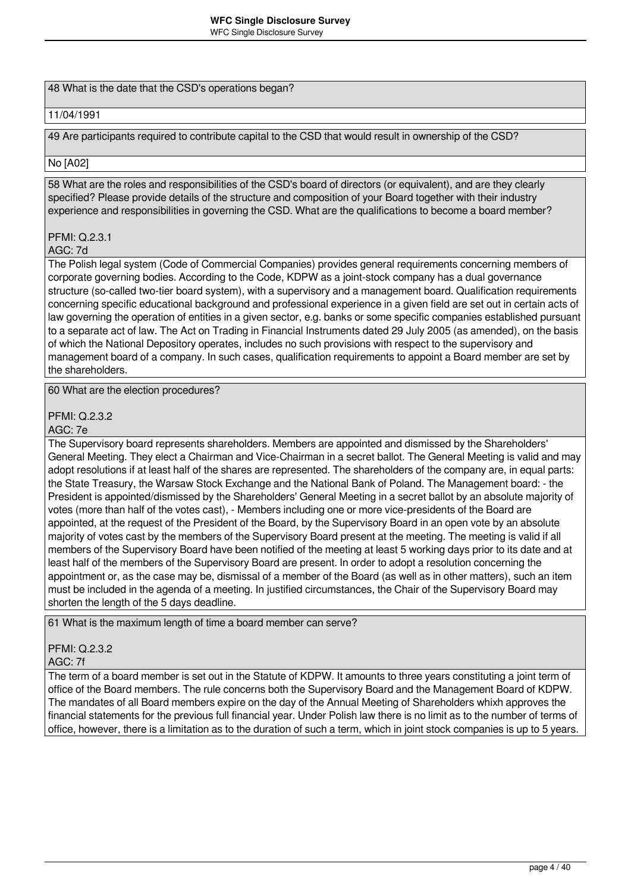### 48 What is the date that the CSD's operations began?

### 11/04/1991

49 Are participants required to contribute capital to the CSD that would result in ownership of the CSD?

### No [A02]

58 What are the roles and responsibilities of the CSD's board of directors (or equivalent), and are they clearly specified? Please provide details of the structure and composition of your Board together with their industry experience and responsibilities in governing the CSD. What are the qualifications to become a board member?

### PFMI: Q.2.3.1

### AGC: 7d

The Polish legal system (Code of Commercial Companies) provides general requirements concerning members of corporate governing bodies. According to the Code, KDPW as a joint-stock company has a dual governance structure (so-called two-tier board system), with a supervisory and a management board. Qualification requirements concerning specific educational background and professional experience in a given field are set out in certain acts of law governing the operation of entities in a given sector, e.g. banks or some specific companies established pursuant to a separate act of law. The Act on Trading in Financial Instruments dated 29 July 2005 (as amended), on the basis of which the National Depository operates, includes no such provisions with respect to the supervisory and management board of a company. In such cases, qualification requirements to appoint a Board member are set by the shareholders.

60 What are the election procedures?

PFMI: Q.2.3.2

AGC: 7e

The Supervisory board represents shareholders. Members are appointed and dismissed by the Shareholders' General Meeting. They elect a Chairman and Vice-Chairman in a secret ballot. The General Meeting is valid and may adopt resolutions if at least half of the shares are represented. The shareholders of the company are, in equal parts: the State Treasury, the Warsaw Stock Exchange and the National Bank of Poland. The Management board: - the President is appointed/dismissed by the Shareholders' General Meeting in a secret ballot by an absolute majority of votes (more than half of the votes cast), - Members including one or more vice-presidents of the Board are appointed, at the request of the President of the Board, by the Supervisory Board in an open vote by an absolute majority of votes cast by the members of the Supervisory Board present at the meeting. The meeting is valid if all members of the Supervisory Board have been notified of the meeting at least 5 working days prior to its date and at least half of the members of the Supervisory Board are present. In order to adopt a resolution concerning the appointment or, as the case may be, dismissal of a member of the Board (as well as in other matters), such an item must be included in the agenda of a meeting. In justified circumstances, the Chair of the Supervisory Board may shorten the length of the 5 days deadline.

61 What is the maximum length of time a board member can serve?

#### PFMI: Q.2.3.2 AGC: 7f

The term of a board member is set out in the Statute of KDPW. It amounts to three years constituting a joint term of office of the Board members. The rule concerns both the Supervisory Board and the Management Board of KDPW. The mandates of all Board members expire on the day of the Annual Meeting of Shareholders whixh approves the financial statements for the previous full financial year. Under Polish law there is no limit as to the number of terms of office, however, there is a limitation as to the duration of such a term, which in joint stock companies is up to 5 years.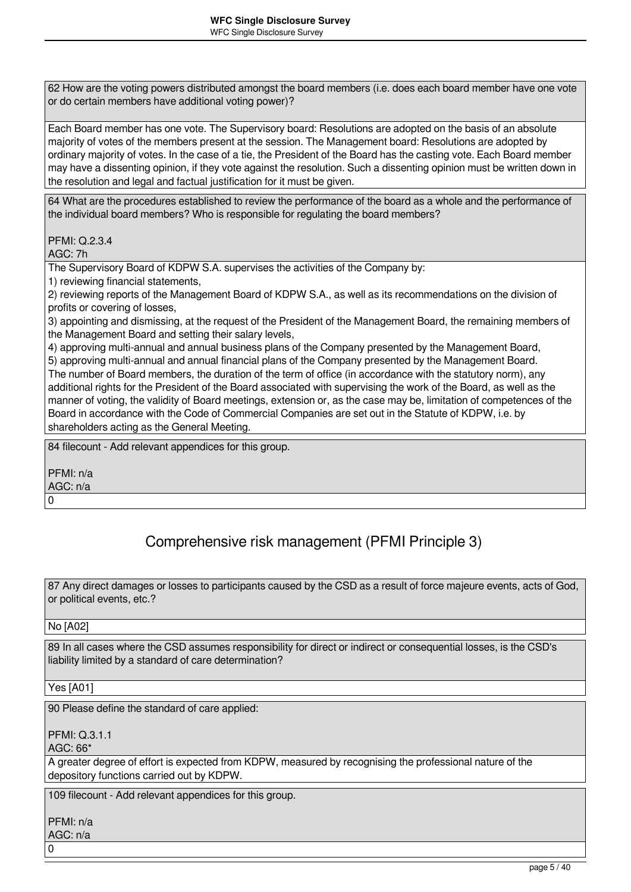62 How are the voting powers distributed amongst the board members (i.e. does each board member have one vote or do certain members have additional voting power)?

Each Board member has one vote. The Supervisory board: Resolutions are adopted on the basis of an absolute majority of votes of the members present at the session. The Management board: Resolutions are adopted by ordinary majority of votes. In the case of a tie, the President of the Board has the casting vote. Each Board member may have a dissenting opinion, if they vote against the resolution. Such a dissenting opinion must be written down in the resolution and legal and factual justification for it must be given.

64 What are the procedures established to review the performance of the board as a whole and the performance of the individual board members? Who is responsible for regulating the board members?

PFMI: Q.2.3.4 AGC: 7h

The Supervisory Board of KDPW S.A. supervises the activities of the Company by:

1) reviewing financial statements,

2) reviewing reports of the Management Board of KDPW S.A., as well as its recommendations on the division of profits or covering of losses,

3) appointing and dismissing, at the request of the President of the Management Board, the remaining members of the Management Board and setting their salary levels,

4) approving multi-annual and annual business plans of the Company presented by the Management Board, 5) approving multi-annual and annual financial plans of the Company presented by the Management Board. The number of Board members, the duration of the term of office (in accordance with the statutory norm), any additional rights for the President of the Board associated with supervising the work of the Board, as well as the manner of voting, the validity of Board meetings, extension or, as the case may be, limitation of competences of the Board in accordance with the Code of Commercial Companies are set out in the Statute of KDPW, i.e. by shareholders acting as the General Meeting.

84 filecount - Add relevant appendices for this group.

PFMI: n/a AGC: n/a 0

# Comprehensive risk management (PFMI Principle 3)

87 Any direct damages or losses to participants caused by the CSD as a result of force majeure events, acts of God, or political events, etc.?

### No [A02]

89 In all cases where the CSD assumes responsibility for direct or indirect or consequential losses, is the CSD's liability limited by a standard of care determination?

Yes [A01]

90 Please define the standard of care applied:

PFMI: Q.3.1.1

AGC: 66\*

A greater degree of effort is expected from KDPW, measured by recognising the professional nature of the depository functions carried out by KDPW.

109 filecount - Add relevant appendices for this group.

PFMI: n/a

AGC: n/a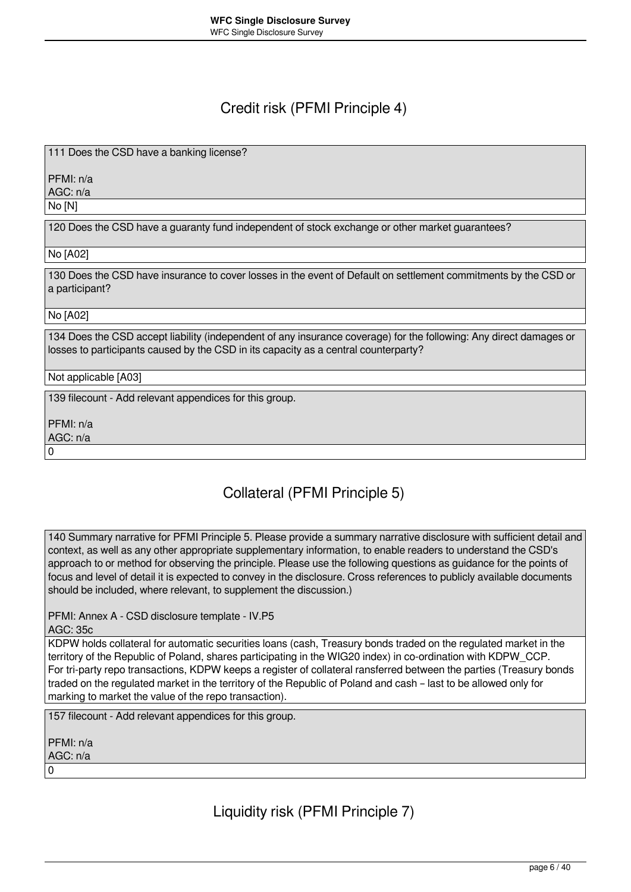### Credit risk (PFMI Principle 4)

111 Does the CSD have a banking license?

PFMI: n/a

AGC: n/a

No [N]

120 Does the CSD have a guaranty fund independent of stock exchange or other market guarantees?

No [A02]

130 Does the CSD have insurance to cover losses in the event of Default on settlement commitments by the CSD or a participant?

No [A02]

134 Does the CSD accept liability (independent of any insurance coverage) for the following: Any direct damages or losses to participants caused by the CSD in its capacity as a central counterparty?

Not applicable [A03]

139 filecount - Add relevant appendices for this group.

PFMI: n/a

AGC: n/a 0

Collateral (PFMI Principle 5)

140 Summary narrative for PFMI Principle 5. Please provide a summary narrative disclosure with sufficient detail and context, as well as any other appropriate supplementary information, to enable readers to understand the CSD's approach to or method for observing the principle. Please use the following questions as guidance for the points of focus and level of detail it is expected to convey in the disclosure. Cross references to publicly available documents should be included, where relevant, to supplement the discussion.)

PFMI: Annex A - CSD disclosure template - IV.P5

AGC: 35c

KDPW holds collateral for automatic securities loans (cash, Treasury bonds traded on the regulated market in the territory of the Republic of Poland, shares participating in the WIG20 index) in co-ordination with KDPW\_CCP. For tri-party repo transactions, KDPW keeps a register of collateral ransferred between the parties (Treasury bonds traded on the regulated market in the territory of the Republic of Poland and cash – last to be allowed only for marking to market the value of the repo transaction).

157 filecount - Add relevant appendices for this group.

PFMI: n/a AGC: n/a 0

Liquidity risk (PFMI Principle 7)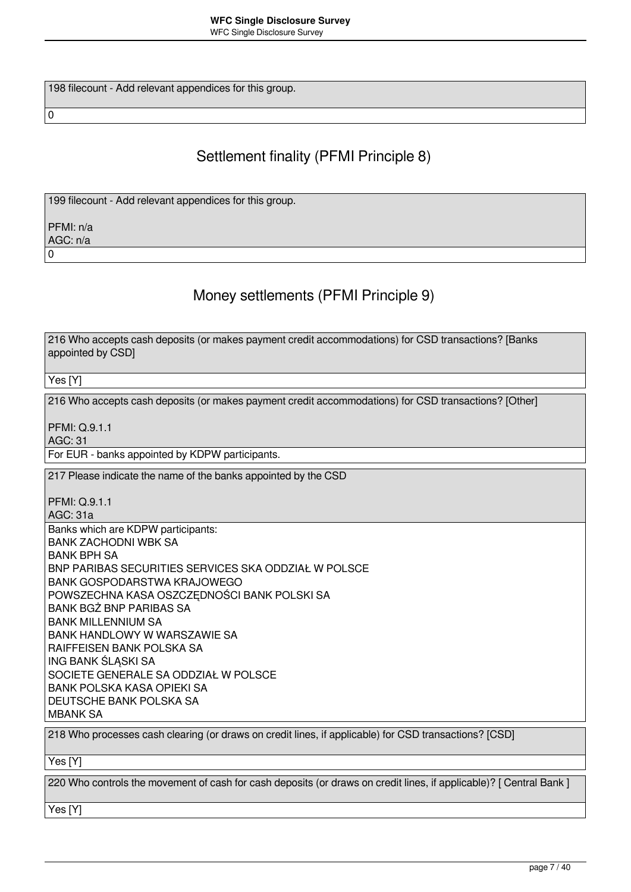198 filecount - Add relevant appendices for this group.

# Settlement finality (PFMI Principle 8)

199 filecount - Add relevant appendices for this group.

PFMI: n/a AGC: n/a  $\overline{0}$ 

 $\overline{0}$ 

# Money settlements (PFMI Principle 9)

| 216 Who accepts cash deposits (or makes payment credit accommodations) for CSD transactions? [Banks<br>appointed by CSD] |
|--------------------------------------------------------------------------------------------------------------------------|
| Yes [Y]                                                                                                                  |
| 216 Who accepts cash deposits (or makes payment credit accommodations) for CSD transactions? [Other]                     |
| <b>PFMI: Q.9.1.1</b>                                                                                                     |
| <b>AGC: 31</b>                                                                                                           |
| For EUR - banks appointed by KDPW participants.                                                                          |
| 217 Please indicate the name of the banks appointed by the CSD                                                           |
| <b>PFMI: Q.9.1.1</b>                                                                                                     |
| AGC: 31a                                                                                                                 |
| Banks which are KDPW participants:                                                                                       |
| <b>BANK ZACHODNI WBK SA</b>                                                                                              |
| <b>BANK BPH SA</b>                                                                                                       |
| BNP PARIBAS SECURITIES SERVICES SKA ODDZIAŁ W POLSCE                                                                     |
| <b>BANK GOSPODARSTWA KRAJOWEGO</b>                                                                                       |
| POWSZECHNA KASA OSZCZEDNOŚCI BANK POLSKI SA                                                                              |
| BANK BGŻ BNP PARIBAS SA                                                                                                  |
| <b>BANK MILLENNIUM SA</b>                                                                                                |
| BANK HANDLOWY W WARSZAWIE SA                                                                                             |
| RAIFFEISEN BANK POLSKA SA                                                                                                |
| ING BANK ŚLĄSKI SA                                                                                                       |
| SOCIETE GENERALE SA ODDZIAŁ W POLSCE<br><b>BANK POLSKA KASA OPIEKI SA</b>                                                |
| DEUTSCHE BANK POLSKA SA                                                                                                  |
| <b>MBANK SA</b>                                                                                                          |
|                                                                                                                          |
| 218 Who processes cash clearing (or draws on credit lines, if applicable) for CSD transactions? [CSD]                    |

Yes [Y]

220 Who controls the movement of cash for cash deposits (or draws on credit lines, if applicable)? [ Central Bank ]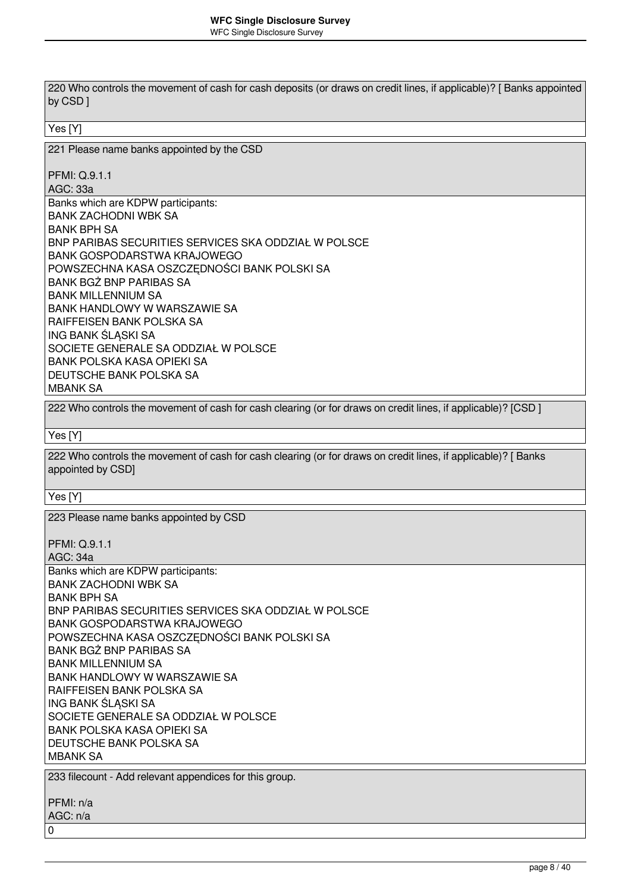220 Who controls the movement of cash for cash deposits (or draws on credit lines, if applicable)? [ Banks appointed by CSD ] Yes [Y] 221 Please name banks appointed by the CSD PFMI: Q.9.1.1 AGC: 33a Banks which are KDPW participants: BANK ZACHODNI WBK SA BANK BPH SA BNP PARIBAS SECURITIES SERVICES SKA ODDZIAŁ W POLSCE BANK GOSPODARSTWA KRAJOWEGO POWSZECHNA KASA OSZCZĘDNOŚCI BANK POLSKI SA BANK BGŻ BNP PARIBAS SA BANK MILLENNIUM SA BANK HANDLOWY W WARSZAWIE SA RAIFFEISEN BANK POLSKA SA ING BANK ŚLĄSKI SA SOCIETE GENERALE SA ODDZIAŁ W POLSCE BANK POLSKA KASA OPIEKI SA DEUTSCHE BANK POLSKA SA MBANK SA 222 Who controls the movement of cash for cash clearing (or for draws on credit lines, if applicable)? [CSD ] Yes [Y] 222 Who controls the movement of cash for cash clearing (or for draws on credit lines, if applicable)? [ Banks appointed by CSD] Yes [Y] 223 Please name banks appointed by CSD PFMI: Q.9.1.1 AGC: 34a Banks which are KDPW participants: BANK ZACHODNI WBK SA BANK BPH SA BNP PARIBAS SECURITIES SERVICES SKA ODDZIAŁ W POLSCE BANK GOSPODARSTWA KRAJOWEGO POWSZECHNA KASA OSZCZĘDNOŚCI BANK POLSKI SA BANK BGŻ BNP PARIBAS SA BANK MILLENNIUM SA BANK HANDLOWY W WARSZAWIE SA RAIFFEISEN BANK POLSKA SA ING BANK ŚLASKI SA SOCIETE GENERALE SA ODDZIAŁ W POLSCE BANK POLSKA KASA OPIEKI SA DEUTSCHE BANK POLSKA SA MBANK SA 233 filecount - Add relevant appendices for this group. PFMI: n/a AGC: n/a 0 page 8 / 40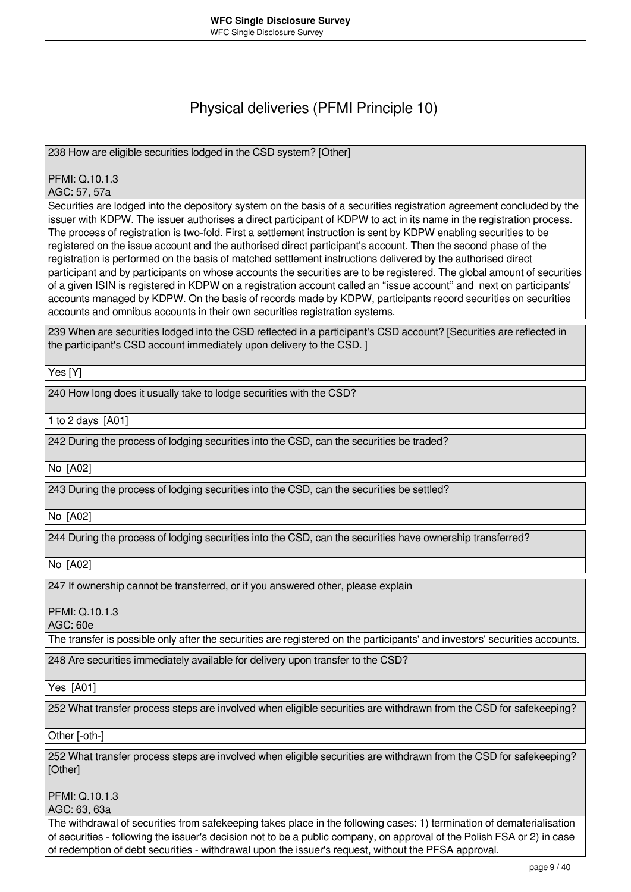### Physical deliveries (PFMI Principle 10)

238 How are eligible securities lodged in the CSD system? [Other]

PFMI: Q.10.1.3

AGC: 57, 57a

Securities are lodged into the depository system on the basis of a securities registration agreement concluded by the issuer with KDPW. The issuer authorises a direct participant of KDPW to act in its name in the registration process. The process of registration is two-fold. First a settlement instruction is sent by KDPW enabling securities to be registered on the issue account and the authorised direct participant's account. Then the second phase of the registration is performed on the basis of matched settlement instructions delivered by the authorised direct participant and by participants on whose accounts the securities are to be registered. The global amount of securities of a given ISIN is registered in KDPW on a registration account called an "issue account" and next on participants' accounts managed by KDPW. On the basis of records made by KDPW, participants record securities on securities accounts and omnibus accounts in their own securities registration systems.

239 When are securities lodged into the CSD reflected in a participant's CSD account? [Securities are reflected in the participant's CSD account immediately upon delivery to the CSD. ]

Yes [Y]

240 How long does it usually take to lodge securities with the CSD?

1 to 2 days [A01]

242 During the process of lodging securities into the CSD, can the securities be traded?

No [A02]

243 During the process of lodging securities into the CSD, can the securities be settled?

No [A02]

244 During the process of lodging securities into the CSD, can the securities have ownership transferred?

No [A02]

247 If ownership cannot be transferred, or if you answered other, please explain

PFMI: Q.10.1.3

AGC: 60e

The transfer is possible only after the securities are registered on the participants' and investors' securities accounts.

248 Are securities immediately available for delivery upon transfer to the CSD?

Yes [A01]

252 What transfer process steps are involved when eligible securities are withdrawn from the CSD for safekeeping?

Other [-oth-]

252 What transfer process steps are involved when eligible securities are withdrawn from the CSD for safekeeping? [Other]

PFMI: Q.10.1.3

AGC: 63, 63a

The withdrawal of securities from safekeeping takes place in the following cases: 1) termination of dematerialisation of securities - following the issuer's decision not to be a public company, on approval of the Polish FSA or 2) in case of redemption of debt securities - withdrawal upon the issuer's request, without the PFSA approval.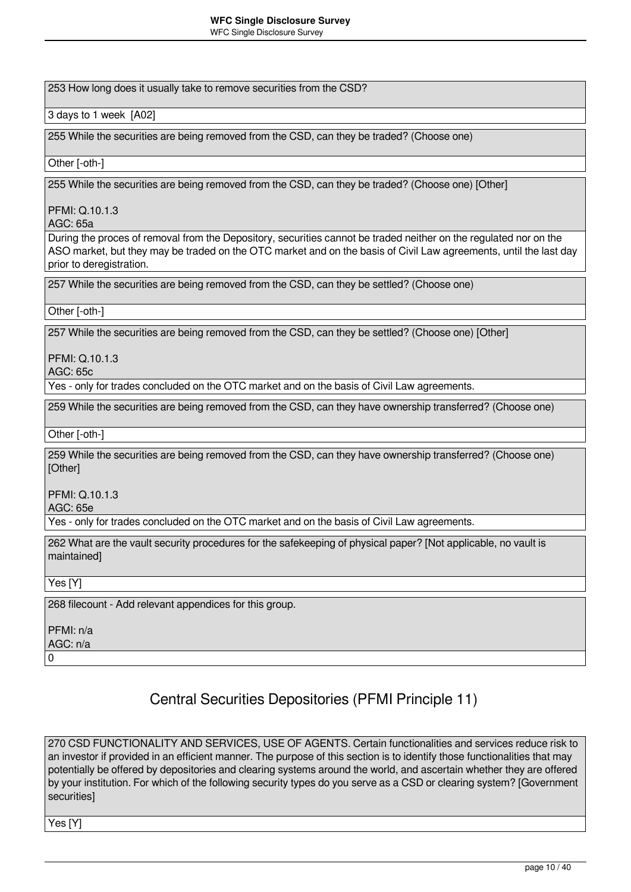253 How long does it usually take to remove securities from the CSD?

3 days to 1 week [A02]

255 While the securities are being removed from the CSD, can they be traded? (Choose one)

Other [-oth-]

255 While the securities are being removed from the CSD, can they be traded? (Choose one) [Other]

PFMI: Q.10.1.3

AGC: 65a

During the proces of removal from the Depository, securities cannot be traded neither on the regulated nor on the ASO market, but they may be traded on the OTC market and on the basis of Civil Law agreements, until the last day prior to deregistration.

257 While the securities are being removed from the CSD, can they be settled? (Choose one)

Other [-oth-]

257 While the securities are being removed from the CSD, can they be settled? (Choose one) [Other]

PFMI: Q.10.1.3

AGC: 65c

Yes - only for trades concluded on the OTC market and on the basis of Civil Law agreements.

259 While the securities are being removed from the CSD, can they have ownership transferred? (Choose one)

Other [-oth-]

259 While the securities are being removed from the CSD, can they have ownership transferred? (Choose one) [Other]

PFMI: Q.10.1.3

AGC: 65e

Yes - only for trades concluded on the OTC market and on the basis of Civil Law agreements.

262 What are the vault security procedures for the safekeeping of physical paper? [Not applicable, no vault is maintained]

Yes [Y]

268 filecount - Add relevant appendices for this group.

PFMI: n/a AGC: n/a

 $\Omega$ 

# Central Securities Depositories (PFMI Principle 11)

270 CSD FUNCTIONALITY AND SERVICES, USE OF AGENTS. Certain functionalities and services reduce risk to an investor if provided in an efficient manner. The purpose of this section is to identify those functionalities that may potentially be offered by depositories and clearing systems around the world, and ascertain whether they are offered by your institution. For which of the following security types do you serve as a CSD or clearing system? [Government securities]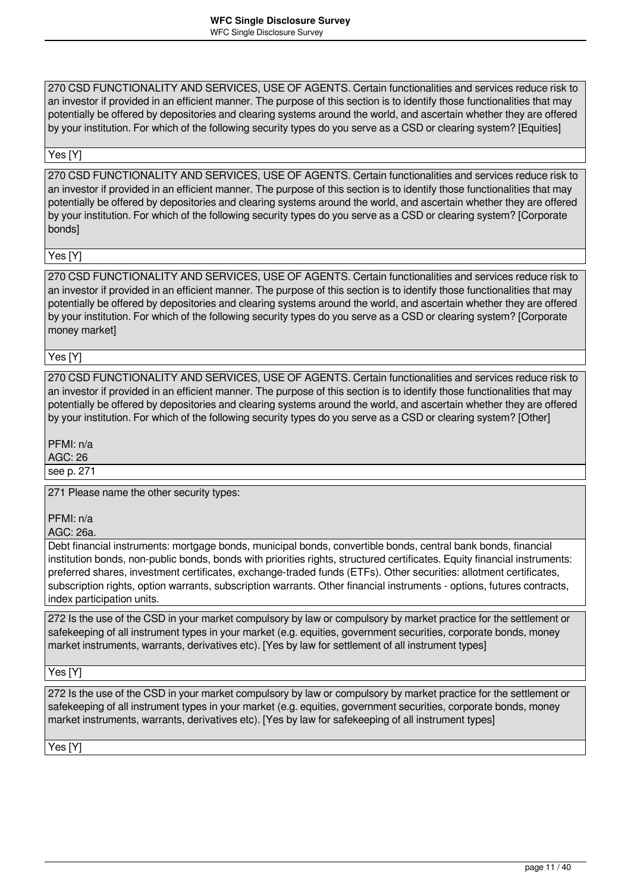270 CSD FUNCTIONALITY AND SERVICES, USE OF AGENTS. Certain functionalities and services reduce risk to an investor if provided in an efficient manner. The purpose of this section is to identify those functionalities that may potentially be offered by depositories and clearing systems around the world, and ascertain whether they are offered by your institution. For which of the following security types do you serve as a CSD or clearing system? [Equities]

#### Yes [Y]

270 CSD FUNCTIONALITY AND SERVICES, USE OF AGENTS. Certain functionalities and services reduce risk to an investor if provided in an efficient manner. The purpose of this section is to identify those functionalities that may potentially be offered by depositories and clearing systems around the world, and ascertain whether they are offered by your institution. For which of the following security types do you serve as a CSD or clearing system? [Corporate bonds]

#### Yes [Y]

270 CSD FUNCTIONALITY AND SERVICES, USE OF AGENTS. Certain functionalities and services reduce risk to an investor if provided in an efficient manner. The purpose of this section is to identify those functionalities that may potentially be offered by depositories and clearing systems around the world, and ascertain whether they are offered by your institution. For which of the following security types do you serve as a CSD or clearing system? [Corporate money market]

Yes [Y]

270 CSD FUNCTIONALITY AND SERVICES, USE OF AGENTS. Certain functionalities and services reduce risk to an investor if provided in an efficient manner. The purpose of this section is to identify those functionalities that may potentially be offered by depositories and clearing systems around the world, and ascertain whether they are offered by your institution. For which of the following security types do you serve as a CSD or clearing system? [Other]

PFMI: n/a

AGC: 26

see p. 271

271 Please name the other security types:

PFMI: n/a

AGC: 26a.

Debt financial instruments: mortgage bonds, municipal bonds, convertible bonds, central bank bonds, financial institution bonds, non-public bonds, bonds with priorities rights, structured certificates. Equity financial instruments: preferred shares, investment certificates, exchange-traded funds (ETFs). Other securities: allotment certificates, subscription rights, option warrants, subscription warrants. Other financial instruments - options, futures contracts, index participation units.

272 Is the use of the CSD in your market compulsory by law or compulsory by market practice for the settlement or safekeeping of all instrument types in your market (e.g. equities, government securities, corporate bonds, money market instruments, warrants, derivatives etc). [Yes by law for settlement of all instrument types]

### Yes [Y]

272 Is the use of the CSD in your market compulsory by law or compulsory by market practice for the settlement or safekeeping of all instrument types in your market (e.g. equities, government securities, corporate bonds, money market instruments, warrants, derivatives etc). [Yes by law for safekeeping of all instrument types]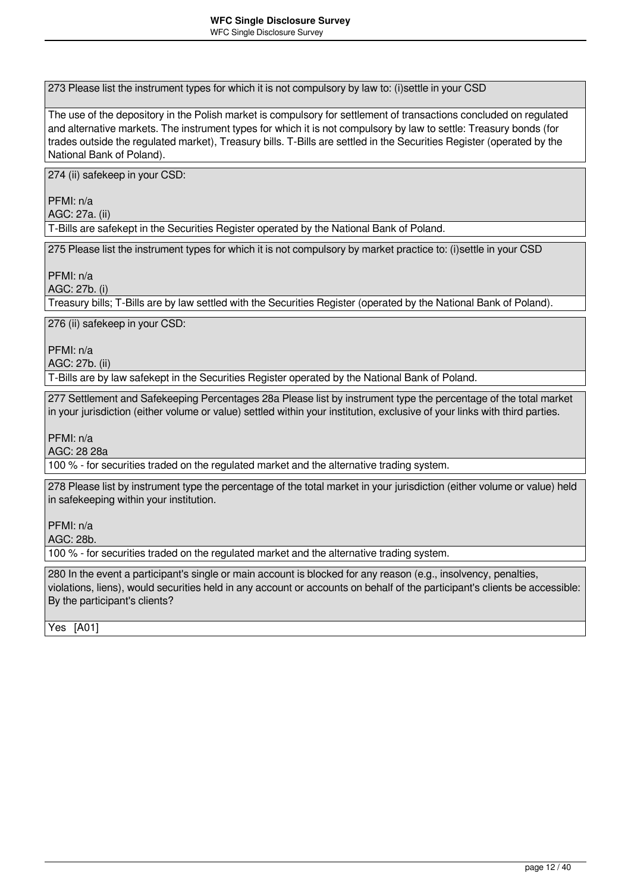273 Please list the instrument types for which it is not compulsory by law to: (i)settle in your CSD

The use of the depository in the Polish market is compulsory for settlement of transactions concluded on regulated and alternative markets. The instrument types for which it is not compulsory by law to settle: Treasury bonds (for trades outside the regulated market), Treasury bills. T-Bills are settled in the Securities Register (operated by the National Bank of Poland).

274 (ii) safekeep in your CSD:

PFMI: n/a AGC: 27a. (ii)

T-Bills are safekept in the Securities Register operated by the National Bank of Poland.

275 Please list the instrument types for which it is not compulsory by market practice to: (i)settle in your CSD

PFMI: n/a

AGC: 27b. (i)

Treasury bills; T-Bills are by law settled with the Securities Register (operated by the National Bank of Poland).

276 (ii) safekeep in your CSD:

PFMI: n/a

AGC: 27b. (ii)

T-Bills are by law safekept in the Securities Register operated by the National Bank of Poland.

277 Settlement and Safekeeping Percentages 28a Please list by instrument type the percentage of the total market in your jurisdiction (either volume or value) settled within your institution, exclusive of your links with third parties.

PFMI: n/a

AGC: 28 28a

100 % - for securities traded on the regulated market and the alternative trading system.

278 Please list by instrument type the percentage of the total market in your jurisdiction (either volume or value) held in safekeeping within your institution.

PFMI: n/a

AGC: 28b.

100 % - for securities traded on the regulated market and the alternative trading system.

280 In the event a participant's single or main account is blocked for any reason (e.g., insolvency, penalties, violations, liens), would securities held in any account or accounts on behalf of the participant's clients be accessible: By the participant's clients?

Yes [A01]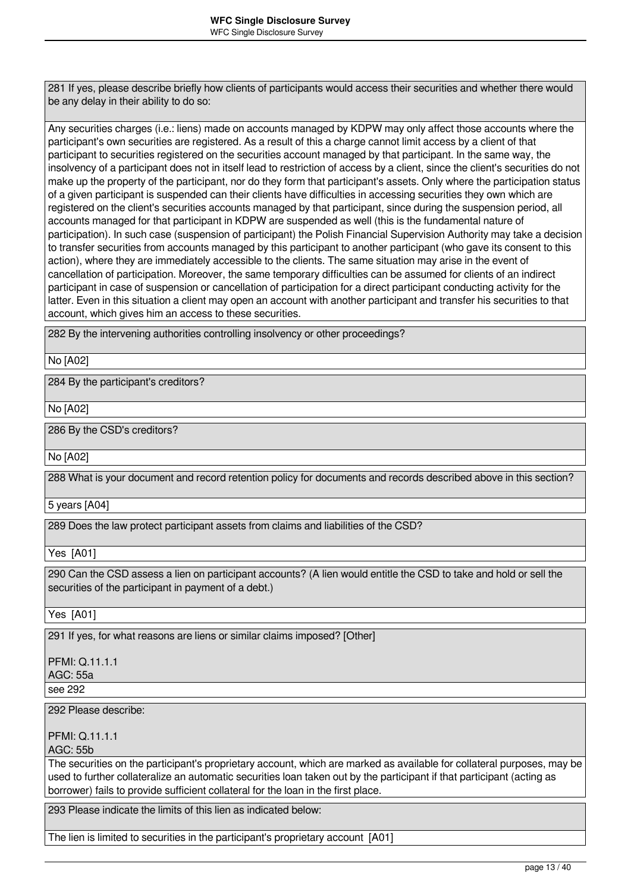281 If yes, please describe briefly how clients of participants would access their securities and whether there would be any delay in their ability to do so:

Any securities charges (i.e.: liens) made on accounts managed by KDPW may only affect those accounts where the participant's own securities are registered. As a result of this a charge cannot limit access by a client of that participant to securities registered on the securities account managed by that participant. In the same way, the insolvency of a participant does not in itself lead to restriction of access by a client, since the client's securities do not make up the property of the participant, nor do they form that participant's assets. Only where the participation status of a given participant is suspended can their clients have difficulties in accessing securities they own which are registered on the client's securities accounts managed by that participant, since during the suspension period, all accounts managed for that participant in KDPW are suspended as well (this is the fundamental nature of participation). In such case (suspension of participant) the Polish Financial Supervision Authority may take a decision to transfer securities from accounts managed by this participant to another participant (who gave its consent to this action), where they are immediately accessible to the clients. The same situation may arise in the event of cancellation of participation. Moreover, the same temporary difficulties can be assumed for clients of an indirect participant in case of suspension or cancellation of participation for a direct participant conducting activity for the latter. Even in this situation a client may open an account with another participant and transfer his securities to that account, which gives him an access to these securities.

282 By the intervening authorities controlling insolvency or other proceedings?

No [A02]

284 By the participant's creditors?

No [A02]

286 By the CSD's creditors?

No [A02]

288 What is your document and record retention policy for documents and records described above in this section?

5 years [A04]

289 Does the law protect participant assets from claims and liabilities of the CSD?

Yes [A01]

290 Can the CSD assess a lien on participant accounts? (A lien would entitle the CSD to take and hold or sell the securities of the participant in payment of a debt.)

Yes [A01]

291 If yes, for what reasons are liens or similar claims imposed? [Other]

PFMI: Q.11.1.1 AGC: 55a see 292

292 Please describe:

PFMI: Q.11.1.1

AGC: 55b

The securities on the participant's proprietary account, which are marked as available for collateral purposes, may be used to further collateralize an automatic securities loan taken out by the participant if that participant (acting as borrower) fails to provide sufficient collateral for the loan in the first place.

293 Please indicate the limits of this lien as indicated below:

The lien is limited to securities in the participant's proprietary account [A01]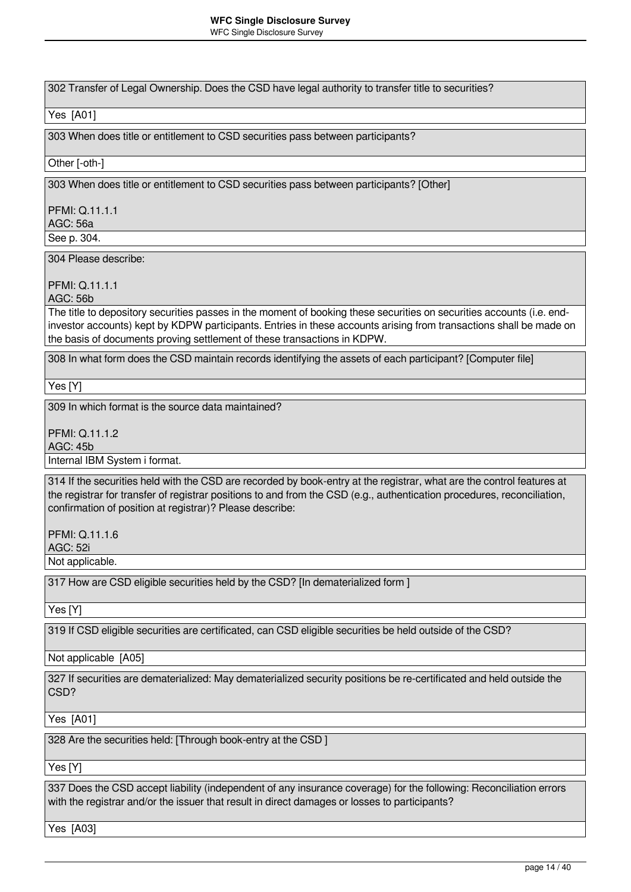302 Transfer of Legal Ownership. Does the CSD have legal authority to transfer title to securities?

### Yes [A01]

303 When does title or entitlement to CSD securities pass between participants?

### Other [-oth-]

303 When does title or entitlement to CSD securities pass between participants? [Other]

PFMI: Q.11.1.1 AGC: 56a

See p. 304.

304 Please describe:

PFMI: Q.11.1.1

AGC: 56b

The title to depository securities passes in the moment of booking these securities on securities accounts (i.e. endinvestor accounts) kept by KDPW participants. Entries in these accounts arising from transactions shall be made on the basis of documents proving settlement of these transactions in KDPW.

308 In what form does the CSD maintain records identifying the assets of each participant? [Computer file]

Yes [Y]

309 In which format is the source data maintained?

PFMI: Q.11.1.2

AGC: 45b

Internal IBM System i format.

314 If the securities held with the CSD are recorded by book-entry at the registrar, what are the control features at the registrar for transfer of registrar positions to and from the CSD (e.g., authentication procedures, reconciliation, confirmation of position at registrar)? Please describe:

PFMI: Q.11.1.6

AGC: 52i

Not applicable.

317 How are CSD eligible securities held by the CSD? [In dematerialized form ]

Yes [Y]

319 If CSD eligible securities are certificated, can CSD eligible securities be held outside of the CSD?

Not applicable [A05]

327 If securities are dematerialized: May dematerialized security positions be re-certificated and held outside the CSD?

Yes [A01]

328 Are the securities held: [Through book-entry at the CSD ]

Yes [Y]

337 Does the CSD accept liability (independent of any insurance coverage) for the following: Reconciliation errors with the registrar and/or the issuer that result in direct damages or losses to participants?

Yes [A03]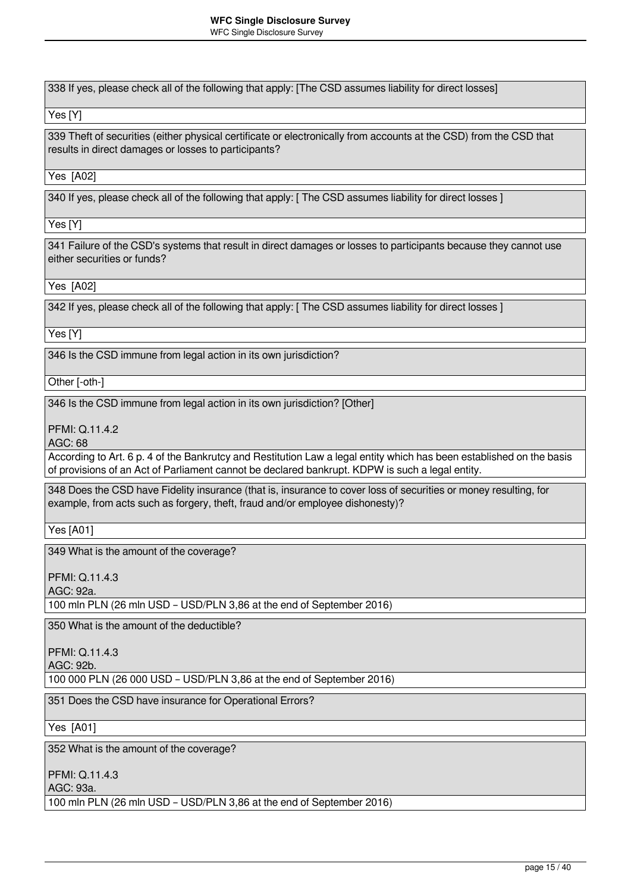338 If yes, please check all of the following that apply: [The CSD assumes liability for direct losses]

Yes [Y]

339 Theft of securities (either physical certificate or electronically from accounts at the CSD) from the CSD that results in direct damages or losses to participants?

Yes [A02]

340 If yes, please check all of the following that apply: [ The CSD assumes liability for direct losses ]

Yes [Y]

341 Failure of the CSD's systems that result in direct damages or losses to participants because they cannot use either securities or funds?

Yes [A02]

342 If yes, please check all of the following that apply: [ The CSD assumes liability for direct losses ]

Yes [Y]

346 Is the CSD immune from legal action in its own jurisdiction?

Other [-oth-]

346 Is the CSD immune from legal action in its own jurisdiction? [Other]

PFMI: Q.11.4.2

AGC: 68

According to Art. 6 p. 4 of the Bankrutcy and Restitution Law a legal entity which has been established on the basis of provisions of an Act of Parliament cannot be declared bankrupt. KDPW is such a legal entity.

348 Does the CSD have Fidelity insurance (that is, insurance to cover loss of securities or money resulting, for example, from acts such as forgery, theft, fraud and/or employee dishonesty)?

Yes [A01]

349 What is the amount of the coverage?

PFMI: Q.11.4.3

AGC: 92a.

100 mln PLN (26 mln USD – USD/PLN 3,86 at the end of September 2016)

350 What is the amount of the deductible?

PFMI: Q.11.4.3

AGC: 92b.

100 000 PLN (26 000 USD – USD/PLN 3,86 at the end of September 2016)

351 Does the CSD have insurance for Operational Errors?

Yes [A01]

352 What is the amount of the coverage?

PFMI: Q.11.4.3

AGC: 93a.

100 mln PLN (26 mln USD – USD/PLN 3,86 at the end of September 2016)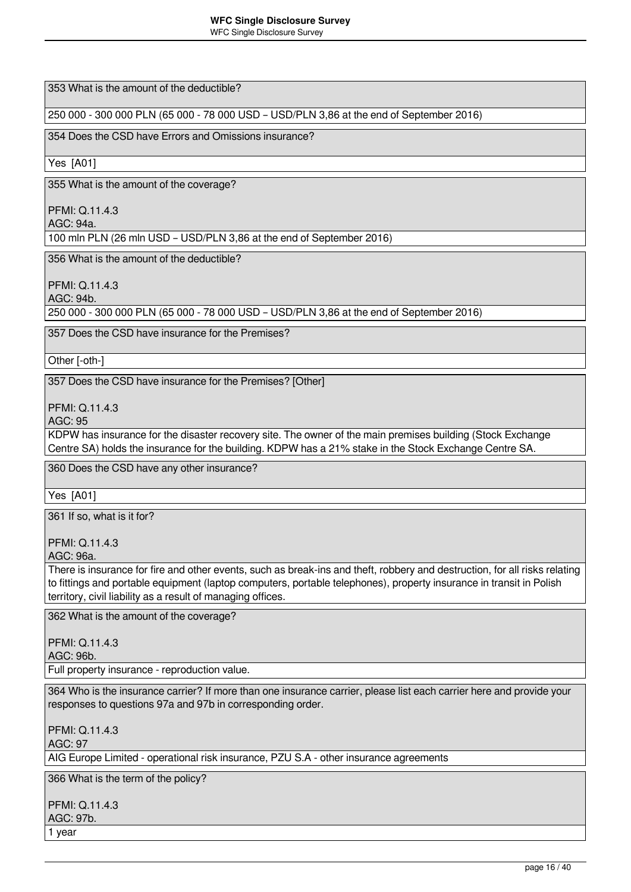353 What is the amount of the deductible?

250 000 - 300 000 PLN (65 000 - 78 000 USD – USD/PLN 3,86 at the end of September 2016)

354 Does the CSD have Errors and Omissions insurance?

Yes [A01]

355 What is the amount of the coverage?

PFMI: Q.11.4.3

AGC: 94a.

100 mln PLN (26 mln USD – USD/PLN 3,86 at the end of September 2016)

356 What is the amount of the deductible?

PFMI: Q.11.4.3

AGC: 94b.

250 000 - 300 000 PLN (65 000 - 78 000 USD – USD/PLN 3,86 at the end of September 2016)

357 Does the CSD have insurance for the Premises?

Other [-oth-]

357 Does the CSD have insurance for the Premises? [Other]

PFMI: Q.11.4.3

AGC: 95

KDPW has insurance for the disaster recovery site. The owner of the main premises building (Stock Exchange Centre SA) holds the insurance for the building. KDPW has a 21% stake in the Stock Exchange Centre SA.

360 Does the CSD have any other insurance?

Yes [A01]

361 If so, what is it for?

PFMI: Q.11.4.3

AGC: 96a.

There is insurance for fire and other events, such as break-ins and theft, robbery and destruction, for all risks relating to fittings and portable equipment (laptop computers, portable telephones), property insurance in transit in Polish territory, civil liability as a result of managing offices.

362 What is the amount of the coverage?

PFMI: Q.11.4.3

AGC: 96b.

Full property insurance - reproduction value.

364 Who is the insurance carrier? If more than one insurance carrier, please list each carrier here and provide your responses to questions 97a and 97b in corresponding order.

PFMI: Q.11.4.3 AGC: 97

AIG Europe Limited - operational risk insurance, PZU S.A - other insurance agreements

366 What is the term of the policy?

PFMI: Q.11.4.3 AGC: 97b. 1 year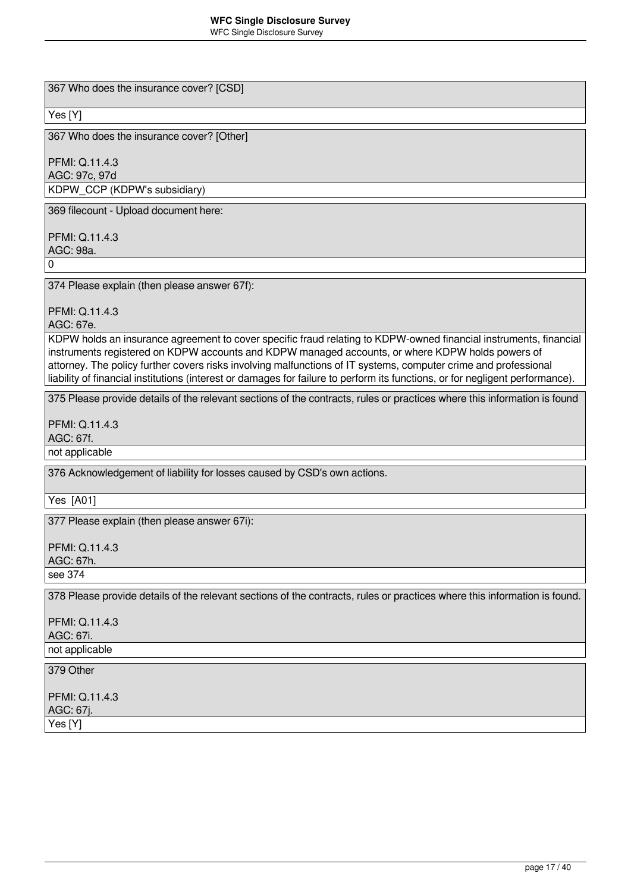367 Who does the insurance cover? [CSD]

### Yes [Y]

367 Who does the insurance cover? [Other]

PFMI: Q.11.4.3 AGC: 97c, 97d KDPW\_CCP (KDPW's subsidiary)

369 filecount - Upload document here:

PFMI: Q.11.4.3 AGC: 98a.

0

374 Please explain (then please answer 67f):

PFMI: Q.11.4.3

AGC: 67e.

KDPW holds an insurance agreement to cover specific fraud relating to KDPW-owned financial instruments, financial instruments registered on KDPW accounts and KDPW managed accounts, or where KDPW holds powers of attorney. The policy further covers risks involving malfunctions of IT systems, computer crime and professional liability of financial institutions (interest or damages for failure to perform its functions, or for negligent performance).

375 Please provide details of the relevant sections of the contracts, rules or practices where this information is found

PFMI: Q.11.4.3

AGC: 67f.

not applicable

376 Acknowledgement of liability for losses caused by CSD's own actions.

Yes [A01]

377 Please explain (then please answer 67i):

PFMI: Q.11.4.3 AGC: 67h. see 374

378 Please provide details of the relevant sections of the contracts, rules or practices where this information is found.

PFMI: Q.11.4.3 AGC: 67i. not applicable

### 379 Other

PFMI: Q.11.4.3 AGC: 67j. Yes [Y]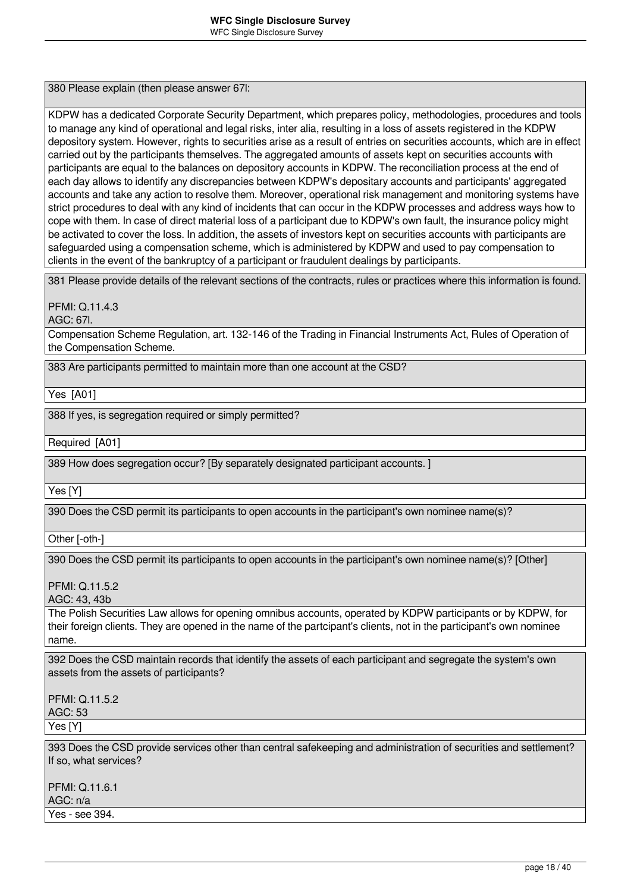380 Please explain (then please answer 67l:

KDPW has a dedicated Corporate Security Department, which prepares policy, methodologies, procedures and tools to manage any kind of operational and legal risks, inter alia, resulting in a loss of assets registered in the KDPW depository system. However, rights to securities arise as a result of entries on securities accounts, which are in effect carried out by the participants themselves. The aggregated amounts of assets kept on securities accounts with participants are equal to the balances on depository accounts in KDPW. The reconciliation process at the end of each day allows to identify any discrepancies between KDPW's depositary accounts and participants' aggregated accounts and take any action to resolve them. Moreover, operational risk management and monitoring systems have strict procedures to deal with any kind of incidents that can occur in the KDPW processes and address ways how to cope with them. In case of direct material loss of a participant due to KDPW's own fault, the insurance policy might be activated to cover the loss. In addition, the assets of investors kept on securities accounts with participants are safeguarded using a compensation scheme, which is administered by KDPW and used to pay compensation to clients in the event of the bankruptcy of a participant or fraudulent dealings by participants.

381 Please provide details of the relevant sections of the contracts, rules or practices where this information is found.

PFMI: Q.11.4.3

AGC: 67l.

Compensation Scheme Regulation, art. 132-146 of the Trading in Financial Instruments Act, Rules of Operation of the Compensation Scheme.

383 Are participants permitted to maintain more than one account at the CSD?

Yes [A01]

388 If yes, is segregation required or simply permitted?

Required [A01]

389 How does segregation occur? [By separately designated participant accounts. ]

Yes [Y]

390 Does the CSD permit its participants to open accounts in the participant's own nominee name(s)?

Other [-oth-]

390 Does the CSD permit its participants to open accounts in the participant's own nominee name(s)? [Other]

PFMI: Q.11.5.2

AGC: 43, 43b

The Polish Securities Law allows for opening omnibus accounts, operated by KDPW participants or by KDPW, for their foreign clients. They are opened in the name of the partcipant's clients, not in the participant's own nominee name.

392 Does the CSD maintain records that identify the assets of each participant and segregate the system's own assets from the assets of participants?

PFMI: Q.11.5.2 AGC: 53

Yes [Y]

393 Does the CSD provide services other than central safekeeping and administration of securities and settlement? If so, what services?

PFMI: Q.11.6.1

AGC: n/a

Yes - see 394.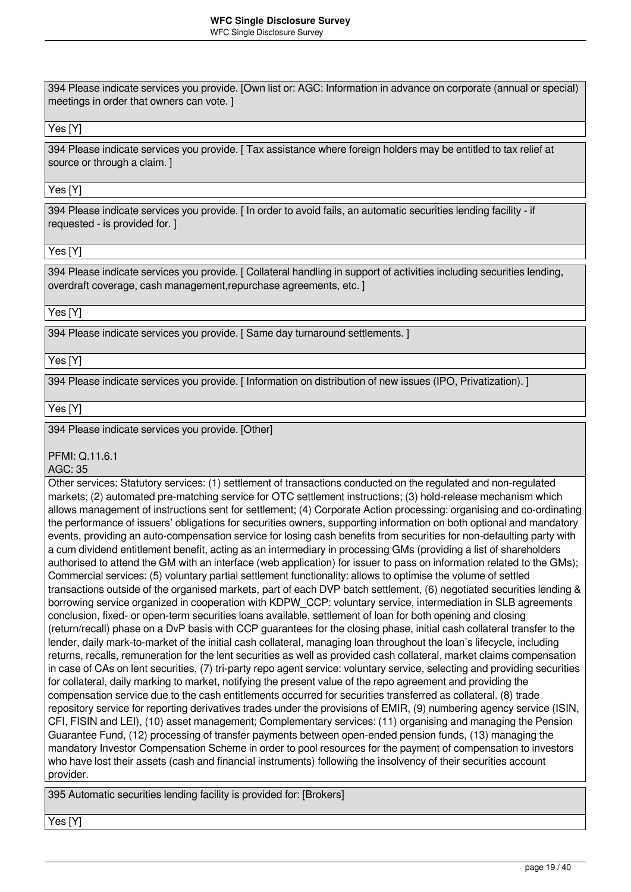394 Please indicate services you provide. [Own list or: AGC: Information in advance on corporate (annual or special) meetings in order that owners can vote. ]

### Yes [Y]

394 Please indicate services you provide. [ Tax assistance where foreign holders may be entitled to tax relief at source or through a claim. I

### Yes [Y]

394 Please indicate services you provide. [ In order to avoid fails, an automatic securities lending facility - if requested - is provided for. ]

### Yes [Y]

394 Please indicate services you provide. [ Collateral handling in support of activities including securities lending, overdraft coverage, cash management,repurchase agreements, etc. ]

### Yes [Y]

394 Please indicate services you provide. [ Same day turnaround settlements. ]

Yes [Y]

394 Please indicate services you provide. [ Information on distribution of new issues (IPO, Privatization). ]

Yes [Y]

394 Please indicate services you provide. [Other]

PFMI: Q.11.6.1

AGC: 35

Other services: Statutory services: (1) settlement of transactions conducted on the regulated and non-regulated markets; (2) automated pre-matching service for OTC settlement instructions; (3) hold-release mechanism which allows management of instructions sent for settlement; (4) Corporate Action processing: organising and co-ordinating the performance of issuers' obligations for securities owners, supporting information on both optional and mandatory events, providing an auto-compensation service for losing cash benefits from securities for non-defaulting party with a cum dividend entitlement benefit, acting as an intermediary in processing GMs (providing a list of shareholders authorised to attend the GM with an interface (web application) for issuer to pass on information related to the GMs); Commercial services: (5) voluntary partial settlement functionality: allows to optimise the volume of settled transactions outside of the organised markets, part of each DVP batch settlement, (6) negotiated securities lending & borrowing service organized in cooperation with KDPW\_CCP: voluntary service, intermediation in SLB agreements conclusion, fixed- or open-term securities loans available, settlement of loan for both opening and closing (return/recall) phase on a DvP basis with CCP guarantees for the closing phase, initial cash collateral transfer to the lender, daily mark-to-market of the initial cash collateral, managing loan throughout the loan's lifecycle, including returns, recalls, remuneration for the lent securities as well as provided cash collateral, market claims compensation in case of CAs on lent securities, (7) tri-party repo agent service: voluntary service, selecting and providing securities for collateral, daily marking to market, notifying the present value of the repo agreement and providing the compensation service due to the cash entitlements occurred for securities transferred as collateral. (8) trade repository service for reporting derivatives trades under the provisions of EMIR, (9) numbering agency service (ISIN, CFI, FISIN and LEI), (10) asset management; Complementary services: (11) organising and managing the Pension Guarantee Fund, (12) processing of transfer payments between open-ended pension funds, (13) managing the mandatory Investor Compensation Scheme in order to pool resources for the payment of compensation to investors who have lost their assets (cash and financial instruments) following the insolvency of their securities account provider.

395 Automatic securities lending facility is provided for: [Brokers]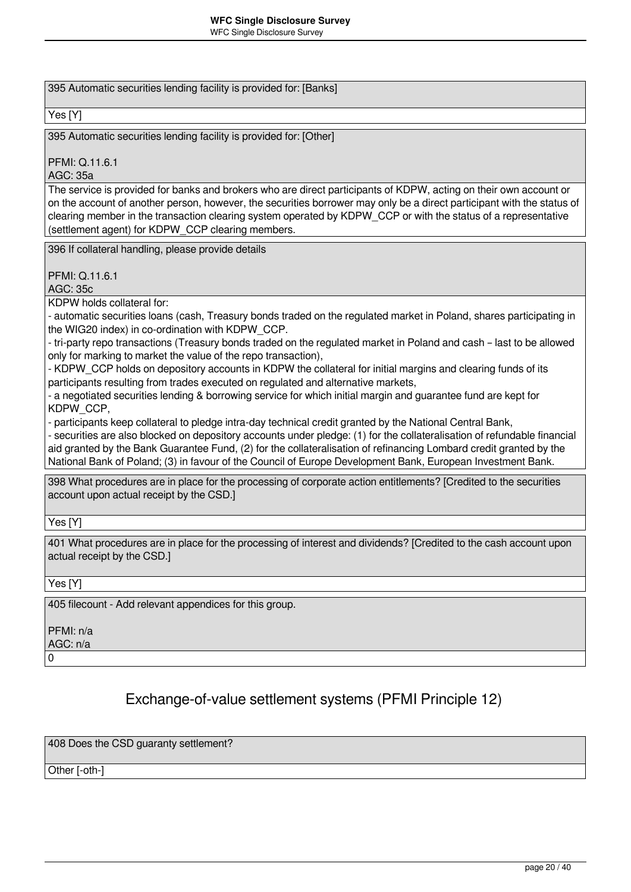395 Automatic securities lending facility is provided for: [Banks]

### Yes [Y]

395 Automatic securities lending facility is provided for: [Other]

PFMI: Q.11.6.1

AGC: 35a

The service is provided for banks and brokers who are direct participants of KDPW, acting on their own account or on the account of another person, however, the securities borrower may only be a direct participant with the status of clearing member in the transaction clearing system operated by KDPW\_CCP or with the status of a representative (settlement agent) for KDPW\_CCP clearing members.

396 If collateral handling, please provide details

### PFMI: Q.11.6.1

AGC: 35c

KDPW holds collateral for:

- automatic securities loans (cash, Treasury bonds traded on the regulated market in Poland, shares participating in the WIG20 index) in co-ordination with KDPW\_CCP.

- tri-party repo transactions (Treasury bonds traded on the regulated market in Poland and cash – last to be allowed only for marking to market the value of the repo transaction),

- KDPW\_CCP holds on depository accounts in KDPW the collateral for initial margins and clearing funds of its participants resulting from trades executed on regulated and alternative markets,

- a negotiated securities lending & borrowing service for which initial margin and guarantee fund are kept for KDPW\_CCP,

- participants keep collateral to pledge intra-day technical credit granted by the National Central Bank,

- securities are also blocked on depository accounts under pledge: (1) for the collateralisation of refundable financial aid granted by the Bank Guarantee Fund, (2) for the collateralisation of refinancing Lombard credit granted by the National Bank of Poland; (3) in favour of the Council of Europe Development Bank, European Investment Bank.

398 What procedures are in place for the processing of corporate action entitlements? [Credited to the securities account upon actual receipt by the CSD.]

Yes [Y]

401 What procedures are in place for the processing of interest and dividends? [Credited to the cash account upon actual receipt by the CSD.]

Yes [Y]

405 filecount - Add relevant appendices for this group.

PFMI: n/a

AGC: n/a

 $\Omega$ 

### Exchange-of-value settlement systems (PFMI Principle 12)

408 Does the CSD guaranty settlement?

Other [-oth-]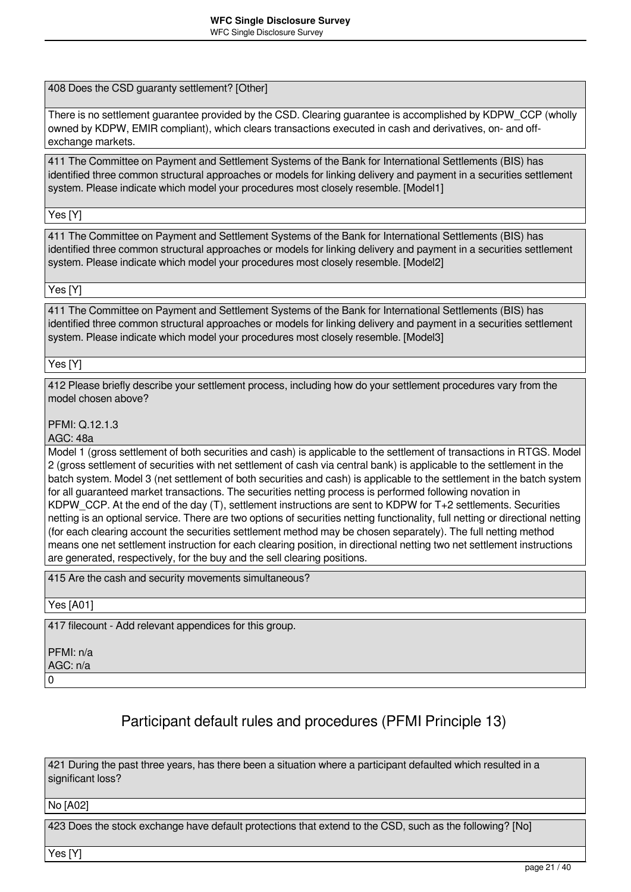408 Does the CSD guaranty settlement? [Other]

There is no settlement guarantee provided by the CSD. Clearing guarantee is accomplished by KDPW\_CCP (wholly owned by KDPW, EMIR compliant), which clears transactions executed in cash and derivatives, on- and offexchange markets.

411 The Committee on Payment and Settlement Systems of the Bank for International Settlements (BIS) has identified three common structural approaches or models for linking delivery and payment in a securities settlement system. Please indicate which model your procedures most closely resemble. [Model1]

Yes [Y]

411 The Committee on Payment and Settlement Systems of the Bank for International Settlements (BIS) has identified three common structural approaches or models for linking delivery and payment in a securities settlement system. Please indicate which model your procedures most closely resemble. [Model2]

Yes [Y]

411 The Committee on Payment and Settlement Systems of the Bank for International Settlements (BIS) has identified three common structural approaches or models for linking delivery and payment in a securities settlement system. Please indicate which model your procedures most closely resemble. [Model3]

Yes [Y]

412 Please briefly describe your settlement process, including how do your settlement procedures vary from the model chosen above?

PFMI: Q.12.1.3

AGC: 48a

Model 1 (gross settlement of both securities and cash) is applicable to the settlement of transactions in RTGS. Model 2 (gross settlement of securities with net settlement of cash via central bank) is applicable to the settlement in the batch system. Model 3 (net settlement of both securities and cash) is applicable to the settlement in the batch system for all guaranteed market transactions. The securities netting process is performed following novation in KDPW, CCP. At the end of the day (T), settlement instructions are sent to KDPW for T+2 settlements. Securities netting is an optional service. There are two options of securities netting functionality, full netting or directional netting (for each clearing account the securities settlement method may be chosen separately). The full netting method means one net settlement instruction for each clearing position, in directional netting two net settlement instructions are generated, respectively, for the buy and the sell clearing positions.

415 Are the cash and security movements simultaneous?

Yes [A01]

417 filecount - Add relevant appendices for this group.

PFMI: n/a AGC: n/a

0

# Participant default rules and procedures (PFMI Principle 13)

421 During the past three years, has there been a situation where a participant defaulted which resulted in a significant loss?

No [A02]

423 Does the stock exchange have default protections that extend to the CSD, such as the following? [No]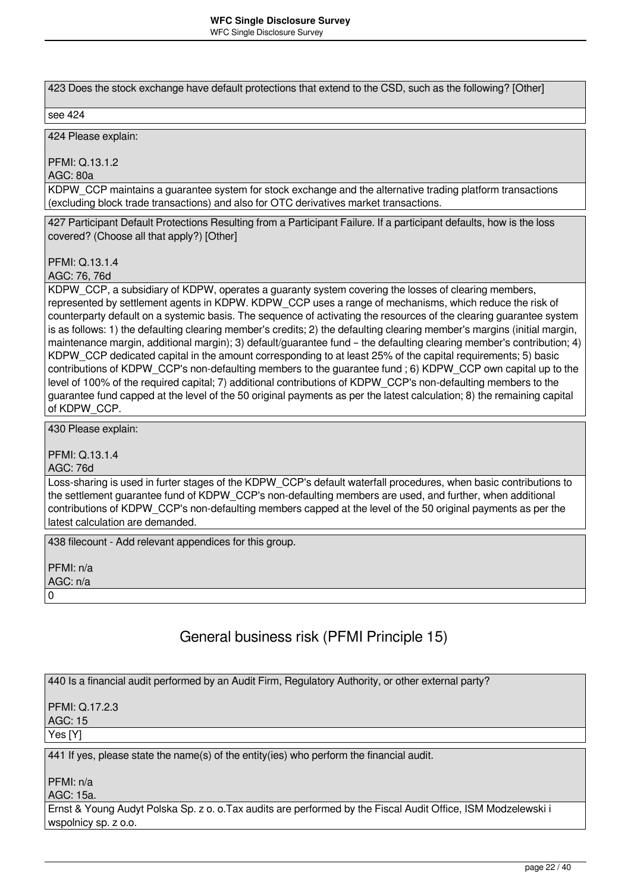423 Does the stock exchange have default protections that extend to the CSD, such as the following? [Other]

#### see 424

424 Please explain:

PFMI: Q.13.1.2

AGC: 80a

KDPW CCP maintains a guarantee system for stock exchange and the alternative trading platform transactions (excluding block trade transactions) and also for OTC derivatives market transactions.

427 Participant Default Protections Resulting from a Participant Failure. If a participant defaults, how is the loss covered? (Choose all that apply?) [Other]

PFMI: Q.13.1.4

AGC: 76, 76d

KDPW CCP, a subsidiary of KDPW, operates a guaranty system covering the losses of clearing members, represented by settlement agents in KDPW. KDPW\_CCP uses a range of mechanisms, which reduce the risk of counterparty default on a systemic basis. The sequence of activating the resources of the clearing guarantee system is as follows: 1) the defaulting clearing member's credits; 2) the defaulting clearing member's margins (initial margin, maintenance margin, additional margin); 3) default/guarantee fund – the defaulting clearing member's contribution; 4) KDPW CCP dedicated capital in the amount corresponding to at least 25% of the capital requirements; 5) basic contributions of KDPW\_CCP's non-defaulting members to the guarantee fund ; 6) KDPW\_CCP own capital up to the level of 100% of the required capital; 7) additional contributions of KDPW\_CCP's non-defaulting members to the guarantee fund capped at the level of the 50 original payments as per the latest calculation; 8) the remaining capital of KDPW\_CCP.

430 Please explain:

PFMI: Q.13.1.4

AGC: 76d

Loss-sharing is used in furter stages of the KDPW\_CCP's default waterfall procedures, when basic contributions to the settlement guarantee fund of KDPW CCP's non-defaulting members are used, and further, when additional contributions of KDPW\_CCP's non-defaulting members capped at the level of the 50 original payments as per the latest calculation are demanded.

438 filecount - Add relevant appendices for this group.

PFMI: n/a AGC: n/a  $\Omega$ 

# General business risk (PFMI Principle 15)

440 Is a financial audit performed by an Audit Firm, Regulatory Authority, or other external party?

PFMI: Q.17.2.3 AGC: 15 Yes [Y]

441 If yes, please state the name(s) of the entity(ies) who perform the financial audit.

PFMI: n/a

AGC: 15a.

Ernst & Young Audyt Polska Sp. z o. o.Tax audits are performed by the Fiscal Audit Office, ISM Modzelewski i wspolnicy sp. z o.o.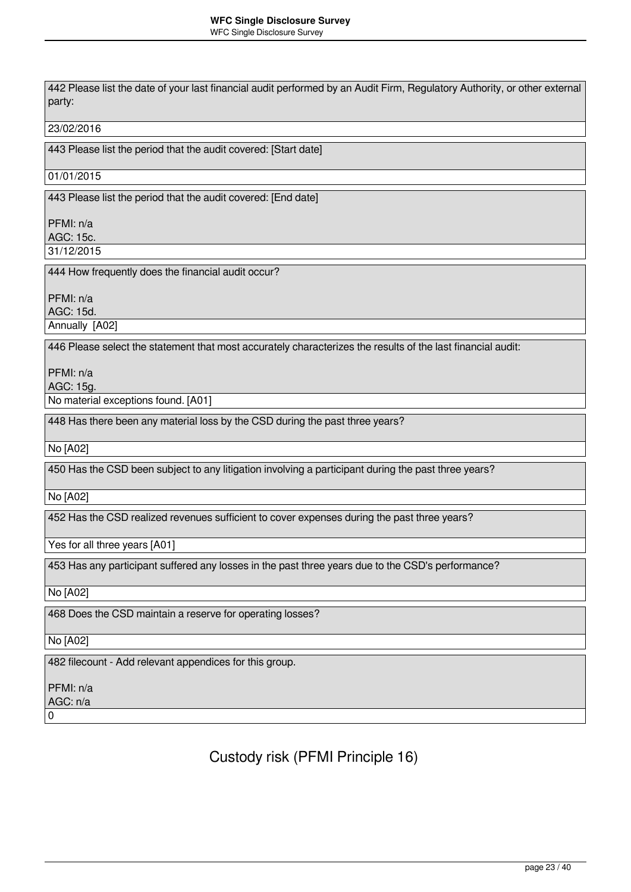442 Please list the date of your last financial audit performed by an Audit Firm, Regulatory Authority, or other external party: 23/02/2016 443 Please list the period that the audit covered: [Start date] 01/01/2015 443 Please list the period that the audit covered: [End date] PFMI: n/a AGC: 15c. 31/12/2015 444 How frequently does the financial audit occur? PFMI: n/a AGC: 15d. Annually [A02] 446 Please select the statement that most accurately characterizes the results of the last financial audit: PFMI: n/a AGC: 15g. No material exceptions found. [A01] 448 Has there been any material loss by the CSD during the past three years? No [A02] 450 Has the CSD been subject to any litigation involving a participant during the past three years? No [A02] 452 Has the CSD realized revenues sufficient to cover expenses during the past three years? Yes for all three years [A01] 453 Has any participant suffered any losses in the past three years due to the CSD's performance? No [A02] 468 Does the CSD maintain a reserve for operating losses? No [A02] 482 filecount - Add relevant appendices for this group. PFMI: n/a AGC: n/a  $\Omega$ 

Custody risk (PFMI Principle 16)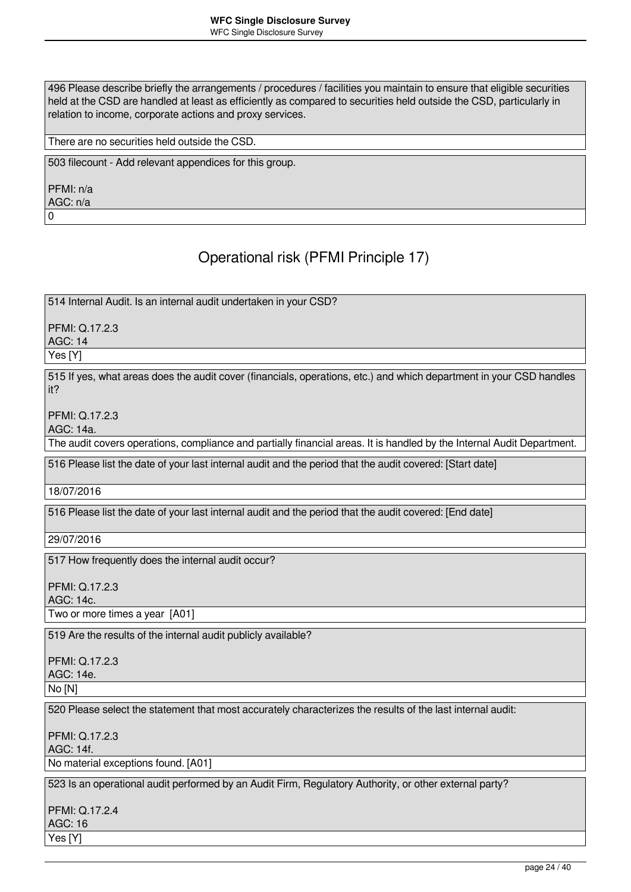496 Please describe briefly the arrangements / procedures / facilities you maintain to ensure that eligible securities held at the CSD are handled at least as efficiently as compared to securities held outside the CSD, particularly in relation to income, corporate actions and proxy services.

There are no securities held outside the CSD.

503 filecount - Add relevant appendices for this group.

PFMI: n/a AGC: n/a 0

Operational risk (PFMI Principle 17)

514 Internal Audit. Is an internal audit undertaken in your CSD?

PFMI: Q.17.2.3

AGC: 14

Yes [Y]

515 If yes, what areas does the audit cover (financials, operations, etc.) and which department in your CSD handles it?

PFMI: Q.17.2.3

AGC: 14a.

The audit covers operations, compliance and partially financial areas. It is handled by the Internal Audit Department.

516 Please list the date of your last internal audit and the period that the audit covered: [Start date]

18/07/2016

516 Please list the date of your last internal audit and the period that the audit covered: [End date]

29/07/2016

517 How frequently does the internal audit occur?

PFMI: Q.17.2.3

AGC: 14c.

Two or more times a year [A01]

519 Are the results of the internal audit publicly available?

PFMI: Q.17.2.3 AGC: 14e.

No [N]

520 Please select the statement that most accurately characterizes the results of the last internal audit:

PFMI: Q.17.2.3 AGC: 14f.

No material exceptions found. [A01]

523 Is an operational audit performed by an Audit Firm, Regulatory Authority, or other external party?

PFMI: Q.17.2.4 AGC: 16 Yes [Y]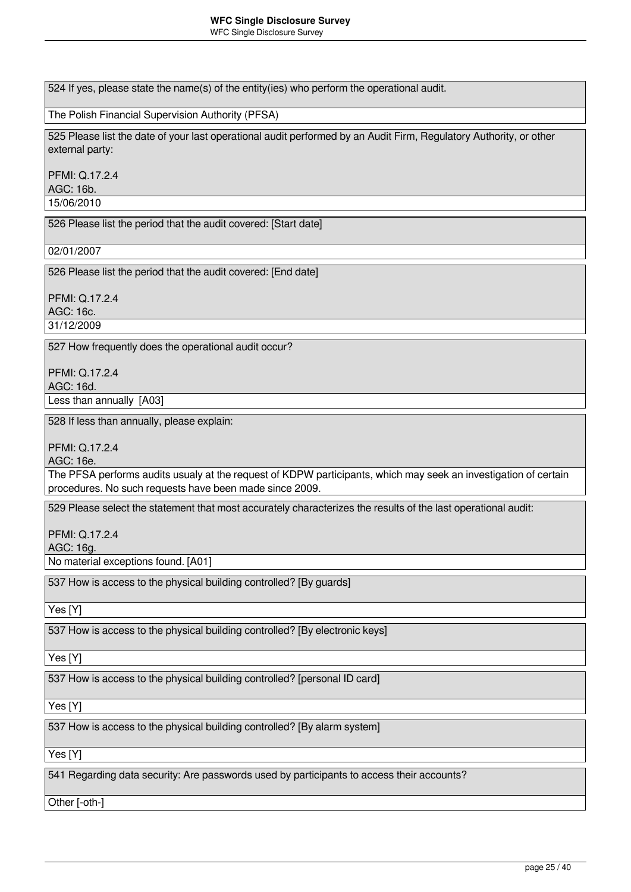| 524 If yes, please state the name(s) of the entity(ies) who perform the operational audit.                                                                                 |
|----------------------------------------------------------------------------------------------------------------------------------------------------------------------------|
| The Polish Financial Supervision Authority (PFSA)                                                                                                                          |
| 525 Please list the date of your last operational audit performed by an Audit Firm, Regulatory Authority, or other<br>external party:                                      |
| PFMI: Q.17.2.4<br>AGC: 16b.                                                                                                                                                |
| 15/06/2010                                                                                                                                                                 |
| 526 Please list the period that the audit covered: [Start date]                                                                                                            |
| 02/01/2007                                                                                                                                                                 |
| 526 Please list the period that the audit covered: [End date]                                                                                                              |
| PFMI: Q.17.2.4<br>AGC: 16c.                                                                                                                                                |
| 31/12/2009                                                                                                                                                                 |
| 527 How frequently does the operational audit occur?                                                                                                                       |
| <b>PFMI: Q.17.2.4</b><br>AGC: 16d.                                                                                                                                         |
| Less than annually [A03]                                                                                                                                                   |
| 528 If less than annually, please explain:                                                                                                                                 |
| PFMI: Q.17.2.4<br>AGC: 16e.                                                                                                                                                |
| The PFSA performs audits usualy at the request of KDPW participants, which may seek an investigation of certain<br>procedures. No such requests have been made since 2009. |
| 529 Please select the statement that most accurately characterizes the results of the last operational audit:                                                              |
| PFMI: Q.17.2.4<br>AGC: 16g.                                                                                                                                                |
| No material exceptions found. [A01]                                                                                                                                        |
| 537 How is access to the physical building controlled? [By guards]                                                                                                         |
| Yes [Y]                                                                                                                                                                    |
| 537 How is access to the physical building controlled? [By electronic keys]                                                                                                |
| Yes [Y]                                                                                                                                                                    |
| 537 How is access to the physical building controlled? [personal ID card]                                                                                                  |
| Yes [Y]                                                                                                                                                                    |
| 537 How is access to the physical building controlled? [By alarm system]                                                                                                   |
| Yes [Y]                                                                                                                                                                    |
| 541 Regarding data security: Are passwords used by participants to access their accounts?                                                                                  |

Other [-oth-]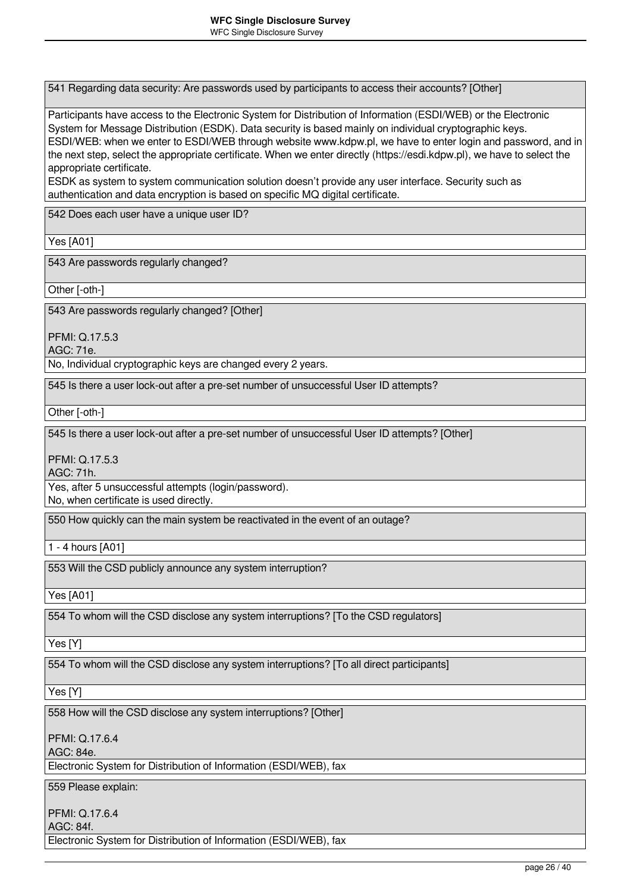541 Regarding data security: Are passwords used by participants to access their accounts? [Other]

Participants have access to the Electronic System for Distribution of Information (ESDI/WEB) or the Electronic System for Message Distribution (ESDK). Data security is based mainly on individual cryptographic keys. ESDI/WEB: when we enter to ESDI/WEB through website www.kdpw.pl, we have to enter login and password, and in the next step, select the appropriate certificate. When we enter directly (https://esdi.kdpw.pl), we have to select the appropriate certificate.

ESDK as system to system communication solution doesn't provide any user interface. Security such as authentication and data encryption is based on specific MQ digital certificate.

542 Does each user have a unique user ID?

Yes [A01]

543 Are passwords regularly changed?

Other [-oth-]

543 Are passwords regularly changed? [Other]

PFMI: Q.17.5.3 AGC: 71e.

No, Individual cryptographic keys are changed every 2 years.

545 Is there a user lock-out after a pre-set number of unsuccessful User ID attempts?

Other [-oth-]

545 Is there a user lock-out after a pre-set number of unsuccessful User ID attempts? [Other]

PFMI: Q.17.5.3

AGC: 71h.

Yes, after 5 unsuccessful attempts (login/password). No, when certificate is used directly.

550 How quickly can the main system be reactivated in the event of an outage?

1 - 4 hours [A01]

553 Will the CSD publicly announce any system interruption?

Yes [A01]

554 To whom will the CSD disclose any system interruptions? [To the CSD regulators]

Yes [Y]

554 To whom will the CSD disclose any system interruptions? [To all direct participants]

Yes [Y]

558 How will the CSD disclose any system interruptions? [Other]

PFMI: Q.17.6.4

AGC: 84e.

Electronic System for Distribution of Information (ESDI/WEB), fax

559 Please explain:

PFMI: Q.17.6.4

AGC: 84f.

Electronic System for Distribution of Information (ESDI/WEB), fax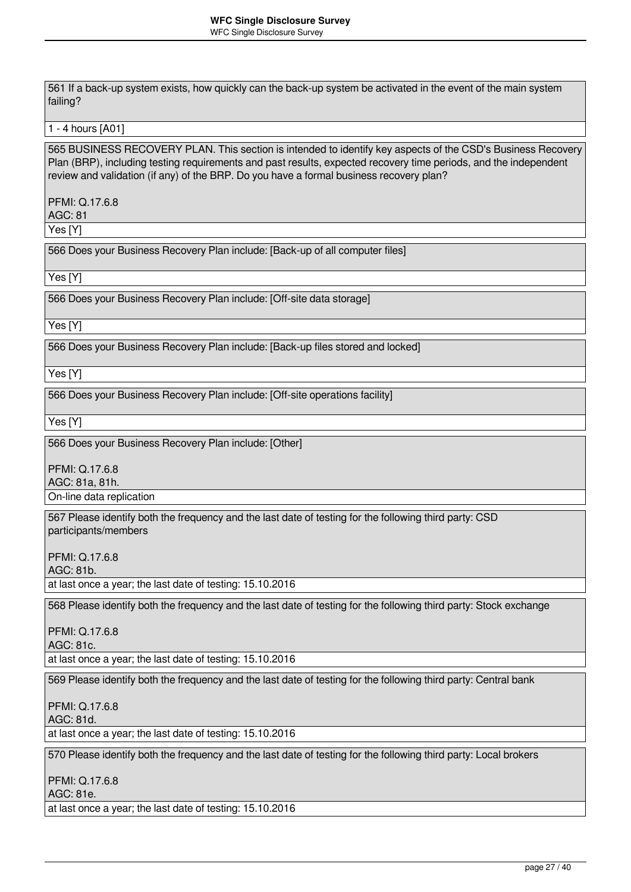561 If a back-up system exists, how quickly can the back-up system be activated in the event of the main system failing?

#### 1 - 4 hours [A01]

565 BUSINESS RECOVERY PLAN. This section is intended to identify key aspects of the CSD's Business Recovery Plan (BRP), including testing requirements and past results, expected recovery time periods, and the independent review and validation (if any) of the BRP. Do you have a formal business recovery plan?

### PFMI: Q.17.6.8 AGC: 81

Yes [Y]

566 Does your Business Recovery Plan include: [Back-up of all computer files]

Yes [Y]

566 Does your Business Recovery Plan include: [Off-site data storage]

Yes [Y]

566 Does your Business Recovery Plan include: [Back-up files stored and locked]

Yes [Y]

566 Does your Business Recovery Plan include: [Off-site operations facility]

Yes [Y]

566 Does your Business Recovery Plan include: [Other]

PFMI: Q.17.6.8 AGC: 81a, 81h.

On-line data replication

567 Please identify both the frequency and the last date of testing for the following third party: CSD participants/members

PFMI: Q.17.6.8 AGC: 81b.

at last once a year; the last date of testing: 15.10.2016

568 Please identify both the frequency and the last date of testing for the following third party: Stock exchange

PFMI: Q.17.6.8 AGC: 81c. at last once a year; the last date of testing: 15.10.2016

569 Please identify both the frequency and the last date of testing for the following third party: Central bank

PFMI: Q.17.6.8 AGC: 81d.

at last once a year; the last date of testing: 15.10.2016

570 Please identify both the frequency and the last date of testing for the following third party: Local brokers

PFMI: Q.17.6.8 AGC: 81e. at last once a year; the last date of testing: 15.10.2016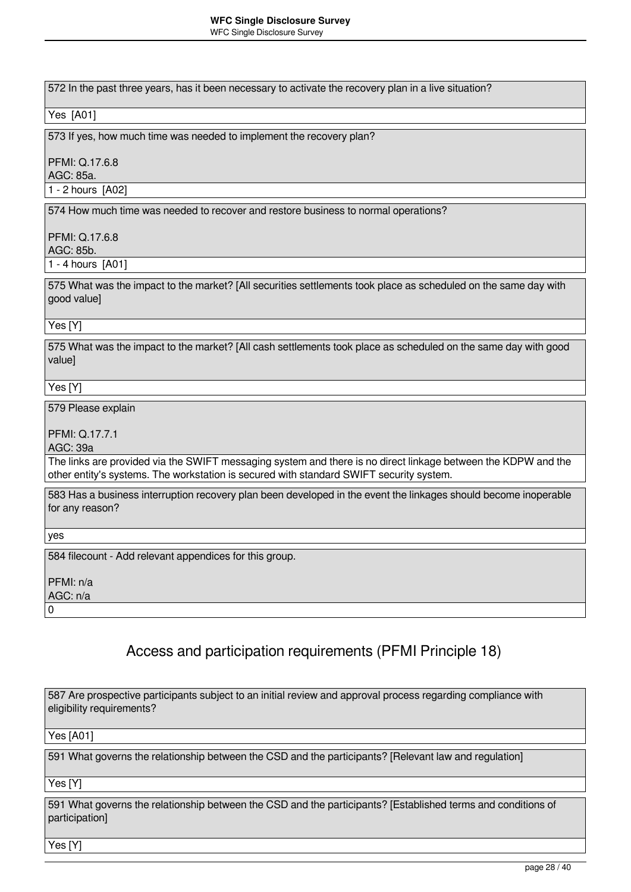### **WFC Single Disclosure Survey**

WFC Single Disclosure Survey

572 In the past three years, has it been necessary to activate the recovery plan in a live situation?

#### Yes [A01]

573 If yes, how much time was needed to implement the recovery plan?

### PFMI: Q.17.6.8

AGC: 85a.

1 - 2 hours [A02]

574 How much time was needed to recover and restore business to normal operations?

### PFMI: Q.17.6.8

AGC: 85b.

1 - 4 hours [A01]

575 What was the impact to the market? [All securities settlements took place as scheduled on the same day with good value]

### Yes [Y]

575 What was the impact to the market? [All cash settlements took place as scheduled on the same day with good value]

Yes [Y]

579 Please explain

PFMI: Q.17.7.1

AGC: 39a

The links are provided via the SWIFT messaging system and there is no direct linkage between the KDPW and the other entity's systems. The workstation is secured with standard SWIFT security system.

583 Has a business interruption recovery plan been developed in the event the linkages should become inoperable for any reason?

yes

584 filecount - Add relevant appendices for this group.

PFMI: n/a AGC: n/a

0

# Access and participation requirements (PFMI Principle 18)

587 Are prospective participants subject to an initial review and approval process regarding compliance with eligibility requirements?

Yes [A01]

591 What governs the relationship between the CSD and the participants? [Relevant law and regulation]

Yes [Y]

591 What governs the relationship between the CSD and the participants? [Established terms and conditions of participation]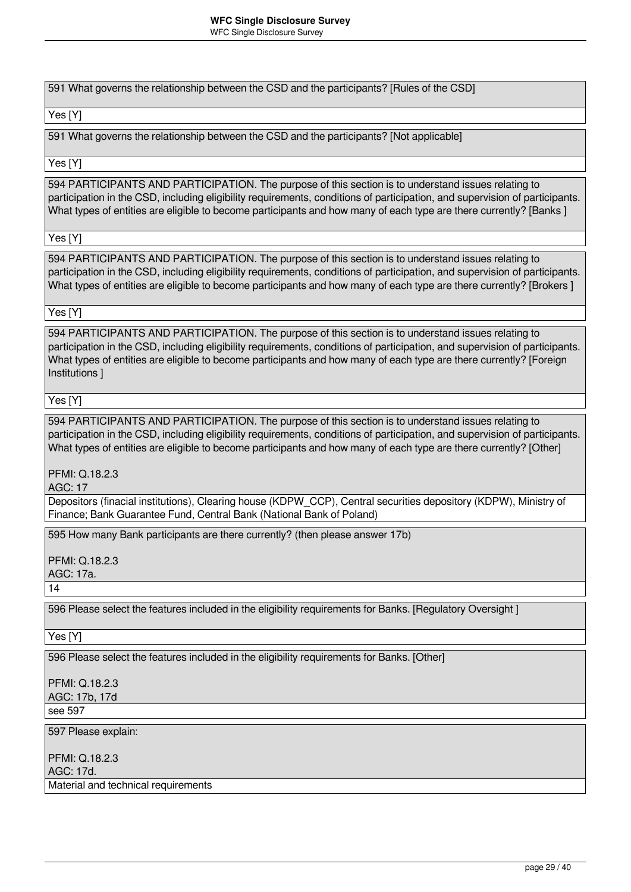591 What governs the relationship between the CSD and the participants? [Rules of the CSD]

### Yes [Y]

591 What governs the relationship between the CSD and the participants? [Not applicable]

### Yes [Y]

594 PARTICIPANTS AND PARTICIPATION. The purpose of this section is to understand issues relating to participation in the CSD, including eligibility requirements, conditions of participation, and supervision of participants. What types of entities are eligible to become participants and how many of each type are there currently? [Banks ]

Yes [Y]

594 PARTICIPANTS AND PARTICIPATION. The purpose of this section is to understand issues relating to participation in the CSD, including eligibility requirements, conditions of participation, and supervision of participants. What types of entities are eligible to become participants and how many of each type are there currently? [Brokers ]

### Yes [Y]

594 PARTICIPANTS AND PARTICIPATION. The purpose of this section is to understand issues relating to participation in the CSD, including eligibility requirements, conditions of participation, and supervision of participants. What types of entities are eligible to become participants and how many of each type are there currently? [Foreign Institutions ]

### Yes [Y]

594 PARTICIPANTS AND PARTICIPATION. The purpose of this section is to understand issues relating to participation in the CSD, including eligibility requirements, conditions of participation, and supervision of participants. What types of entities are eligible to become participants and how many of each type are there currently? [Other]

PFMI: Q.18.2.3

AGC: 17

Depositors (finacial institutions), Clearing house (KDPW\_CCP), Central securities depository (KDPW), Ministry of Finance; Bank Guarantee Fund, Central Bank (National Bank of Poland)

595 How many Bank participants are there currently? (then please answer 17b)

PFMI: Q.18.2.3

AGC: 17a.

14

596 Please select the features included in the eligibility requirements for Banks. [Regulatory Oversight ]

Yes [Y]

596 Please select the features included in the eligibility requirements for Banks. [Other]

PFMI: Q.18.2.3 AGC: 17b, 17d see 597

597 Please explain:

PFMI: Q.18.2.3 AGC: 17d. Material and technical requirements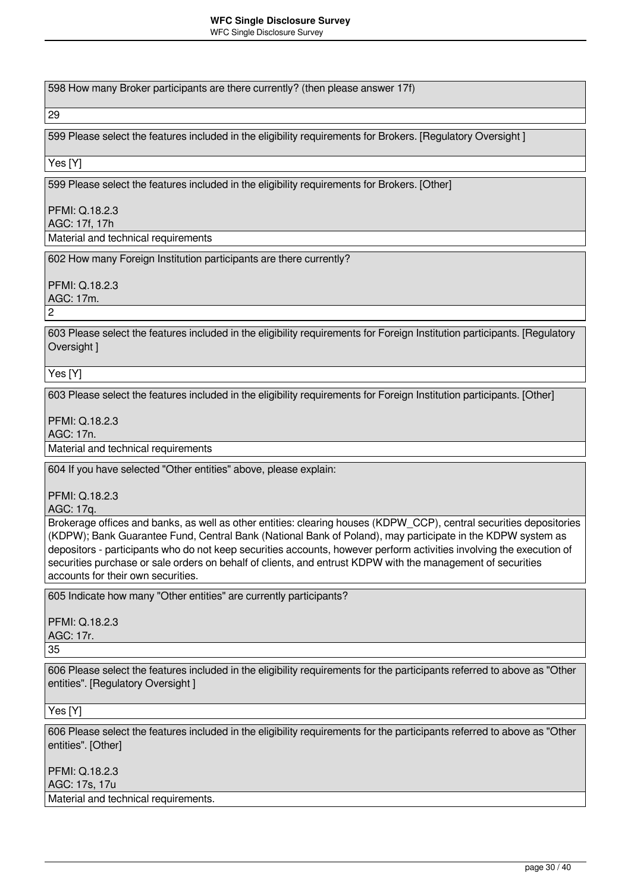598 How many Broker participants are there currently? (then please answer 17f)

29

599 Please select the features included in the eligibility requirements for Brokers. [Regulatory Oversight ]

Yes [Y]

599 Please select the features included in the eligibility requirements for Brokers. [Other]

PFMI: Q.18.2.3 AGC: 17f, 17h

Material and technical requirements

602 How many Foreign Institution participants are there currently?

PFMI: Q.18.2.3

AGC: 17m.

 $\mathfrak{p}$ 

603 Please select the features included in the eligibility requirements for Foreign Institution participants. [Regulatory Oversight ]

Yes [Y]

603 Please select the features included in the eligibility requirements for Foreign Institution participants. [Other]

PFMI: Q.18.2.3

AGC: 17n.

Material and technical requirements

604 If you have selected "Other entities" above, please explain:

PFMI: Q.18.2.3

AGC: 17q.

Brokerage offices and banks, as well as other entities: clearing houses (KDPW\_CCP), central securities depositories (KDPW); Bank Guarantee Fund, Central Bank (National Bank of Poland), may participate in the KDPW system as depositors - participants who do not keep securities accounts, however perform activities involving the execution of securities purchase or sale orders on behalf of clients, and entrust KDPW with the management of securities accounts for their own securities.

605 Indicate how many "Other entities" are currently participants?

PFMI: Q.18.2.3 AGC: 17r. 35

606 Please select the features included in the eligibility requirements for the participants referred to above as "Other entities". [Regulatory Oversight ]

Yes [Y]

606 Please select the features included in the eligibility requirements for the participants referred to above as "Other entities". [Other]

PFMI: Q.18.2.3 AGC: 17s, 17u Material and technical requirements.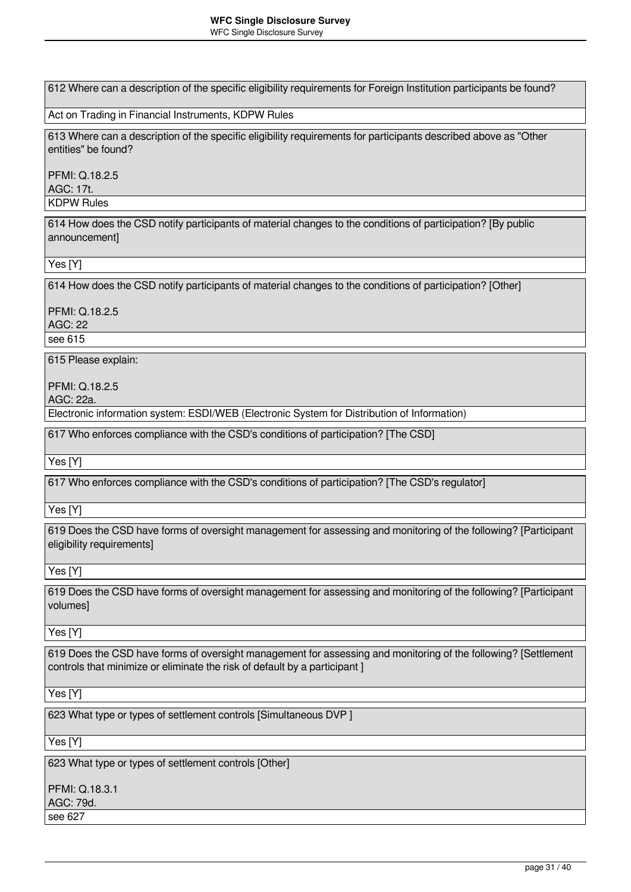612 Where can a description of the specific eligibility requirements for Foreign Institution participants be found?

Act on Trading in Financial Instruments, KDPW Rules

613 Where can a description of the specific eligibility requirements for participants described above as "Other entities" be found?

PFMI: Q.18.2.5 AGC: 17t. KDPW Rules

614 How does the CSD notify participants of material changes to the conditions of participation? [By public announcement]

Yes [Y]

614 How does the CSD notify participants of material changes to the conditions of participation? [Other]

PFMI: Q.18.2.5 AGC: 22 see 615

615 Please explain:

PFMI: Q.18.2.5

AGC: 22a.

Electronic information system: ESDI/WEB (Electronic System for Distribution of Information)

617 Who enforces compliance with the CSD's conditions of participation? [The CSD]

Yes [Y]

617 Who enforces compliance with the CSD's conditions of participation? [The CSD's regulator]

Yes [Y]

619 Does the CSD have forms of oversight management for assessing and monitoring of the following? [Participant eligibility requirements]

Yes [Y]

619 Does the CSD have forms of oversight management for assessing and monitoring of the following? [Participant volumes]

Yes [Y]

619 Does the CSD have forms of oversight management for assessing and monitoring of the following? [Settlement controls that minimize or eliminate the risk of default by a participant ]

Yes [Y]

623 What type or types of settlement controls [Simultaneous DVP ]

Yes [Y]

623 What type or types of settlement controls [Other]

PFMI: Q.18.3.1 AGC: 79d. see 627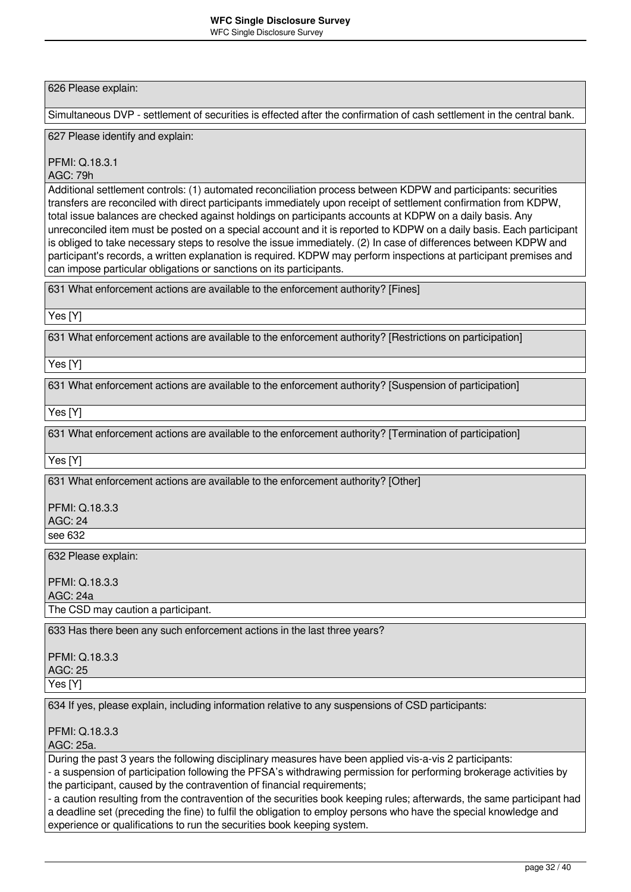626 Please explain:

Simultaneous DVP - settlement of securities is effected after the confirmation of cash settlement in the central bank.

627 Please identify and explain:

PFMI: Q.18.3.1

AGC: 79h

Additional settlement controls: (1) automated reconciliation process between KDPW and participants: securities transfers are reconciled with direct participants immediately upon receipt of settlement confirmation from KDPW, total issue balances are checked against holdings on participants accounts at KDPW on a daily basis. Any unreconciled item must be posted on a special account and it is reported to KDPW on a daily basis. Each participant is obliged to take necessary steps to resolve the issue immediately. (2) In case of differences between KDPW and participant's records, a written explanation is required. KDPW may perform inspections at participant premises and can impose particular obligations or sanctions on its participants.

631 What enforcement actions are available to the enforcement authority? [Fines]

Yes [Y]

631 What enforcement actions are available to the enforcement authority? [Restrictions on participation]

Yes [Y]

631 What enforcement actions are available to the enforcement authority? [Suspension of participation]

Yes [Y]

631 What enforcement actions are available to the enforcement authority? [Termination of participation]

Yes [Y]

see 632

631 What enforcement actions are available to the enforcement authority? [Other]

PFMI: Q.18.3.3 AGC: 24

632 Please explain:

PFMI: Q.18.3.3 AGC: 24a

The CSD may caution a participant.

633 Has there been any such enforcement actions in the last three years?

PFMI: Q.18.3.3 AGC: 25

Yes [Y]

634 If yes, please explain, including information relative to any suspensions of CSD participants:

PFMI: Q.18.3.3

AGC: 25a.

During the past 3 years the following disciplinary measures have been applied vis-a-vis 2 participants:

- a suspension of participation following the PFSA's withdrawing permission for performing brokerage activities by the participant, caused by the contravention of financial requirements;

- a caution resulting from the contravention of the securities book keeping rules; afterwards, the same participant had a deadline set (preceding the fine) to fulfil the obligation to employ persons who have the special knowledge and experience or qualifications to run the securities book keeping system.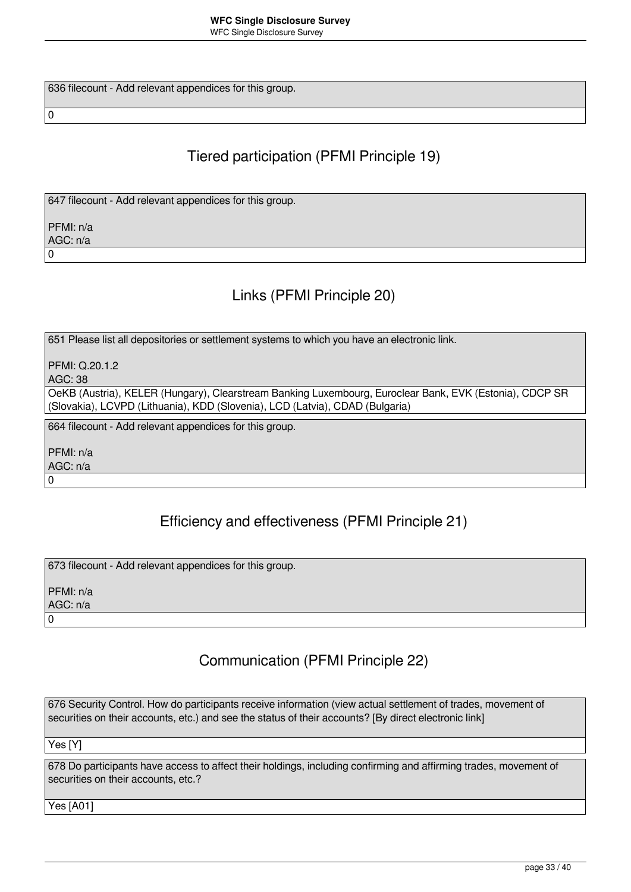636 filecount - Add relevant appendices for this group.

# Tiered participation (PFMI Principle 19)

647 filecount - Add relevant appendices for this group.

PFMI: n/a AGC: n/a 0

 $\overline{0}$ 

### Links (PFMI Principle 20)

651 Please list all depositories or settlement systems to which you have an electronic link.

PFMI: Q.20.1.2

AGC: 38

OeKB (Austria), KELER (Hungary), Clearstream Banking Luxembourg, Euroclear Bank, EVK (Estonia), CDCP SR (Slovakia), LCVPD (Lithuania), KDD (Slovenia), LCD (Latvia), CDAD (Bulgaria)

664 filecount - Add relevant appendices for this group.

PFMI: n/a AGC: n/a

 $\overline{0}$ 

# Efficiency and effectiveness (PFMI Principle 21)

673 filecount - Add relevant appendices for this group.

PFMI: n/a AGC: n/a 0

# Communication (PFMI Principle 22)

676 Security Control. How do participants receive information (view actual settlement of trades, movement of securities on their accounts, etc.) and see the status of their accounts? [By direct electronic link]

Yes [Y]

678 Do participants have access to affect their holdings, including confirming and affirming trades, movement of securities on their accounts, etc.?

Yes [A01]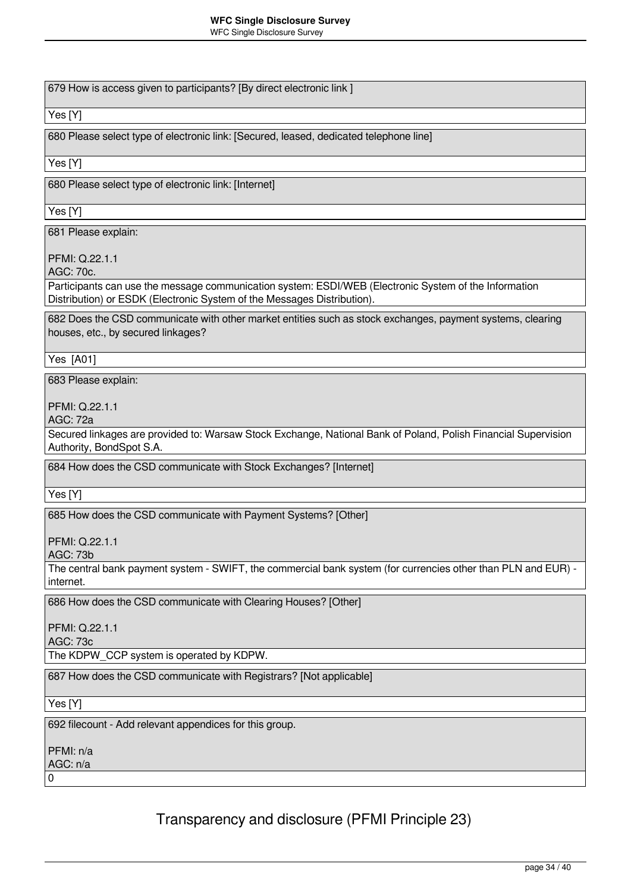WFC Single Disclosure Survey

679 How is access given to participants? [By direct electronic link ]

Yes [Y]

680 Please select type of electronic link: [Secured, leased, dedicated telephone line]

Yes [Y]

680 Please select type of electronic link: [Internet]

Yes [Y]

681 Please explain:

PFMI: Q.22.1.1

AGC: 70c.

Participants can use the message communication system: ESDI/WEB (Electronic System of the Information Distribution) or ESDK (Electronic System of the Messages Distribution).

682 Does the CSD communicate with other market entities such as stock exchanges, payment systems, clearing houses, etc., by secured linkages?

Yes [A01]

683 Please explain:

PFMI: Q.22.1.1

AGC: 72a

Secured linkages are provided to: Warsaw Stock Exchange, National Bank of Poland, Polish Financial Supervision Authority, BondSpot S.A.

684 How does the CSD communicate with Stock Exchanges? [Internet]

Yes [Y]

685 How does the CSD communicate with Payment Systems? [Other]

PFMI: Q.22.1.1

AGC: 73b

The central bank payment system - SWIFT, the commercial bank system (for currencies other than PLN and EUR) internet.

686 How does the CSD communicate with Clearing Houses? [Other]

PFMI: Q.22.1.1

AGC: 73c

The KDPW\_CCP system is operated by KDPW.

687 How does the CSD communicate with Registrars? [Not applicable]

Yes [Y]

692 filecount - Add relevant appendices for this group.

PFMI: n/a

AGC: n/a  $\Omega$ 

Transparency and disclosure (PFMI Principle 23)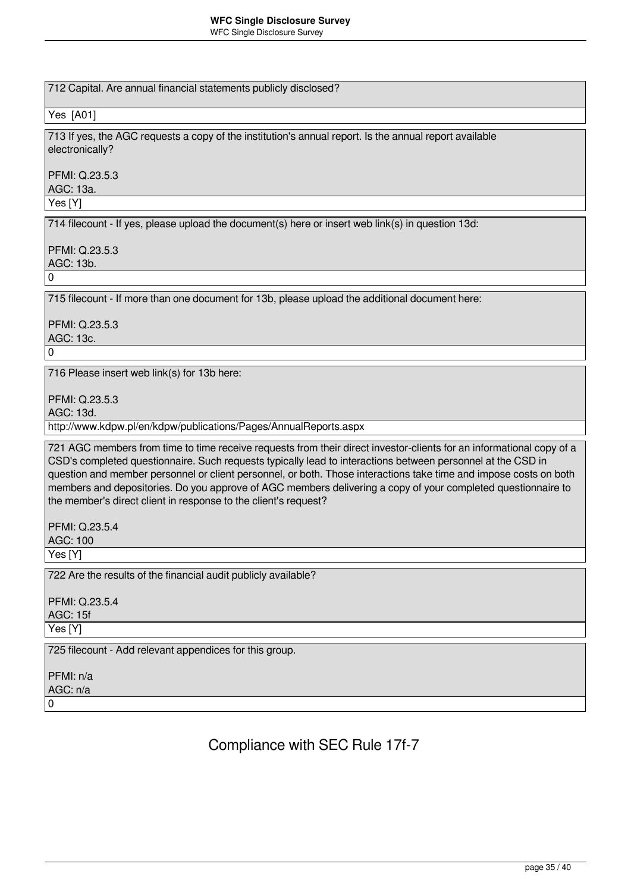712 Capital. Are annual financial statements publicly disclosed?

Yes [A01]

713 If yes, the AGC requests a copy of the institution's annual report. Is the annual report available electronically?

PFMI: Q.23.5.3 AGC: 13a.

Yes [Y]

714 filecount - If yes, please upload the document(s) here or insert web link(s) in question 13d:

PFMI: Q.23.5.3 AGC: 13b. 0

715 filecount - If more than one document for 13b, please upload the additional document here:

PFMI: Q.23.5.3 AGC: 13c.

716 Please insert web link(s) for 13b here:

PFMI: Q.23.5.3

AGC: 13d.

 $\Omega$ 

http://www.kdpw.pl/en/kdpw/publications/Pages/AnnualReports.aspx

721 AGC members from time to time receive requests from their direct investor-clients for an informational copy of a CSD's completed questionnaire. Such requests typically lead to interactions between personnel at the CSD in question and member personnel or client personnel, or both. Those interactions take time and impose costs on both members and depositories. Do you approve of AGC members delivering a copy of your completed questionnaire to the member's direct client in response to the client's request?

PFMI: Q.23.5.4 AGC: 100

Yes [Y]

722 Are the results of the financial audit publicly available?

PFMI: Q.23.5.4 AGC: 15f Yes [Y]

725 filecount - Add relevant appendices for this group.

PFMI: n/a AGC: n/a  $\Omega$ 

Compliance with SEC Rule 17f-7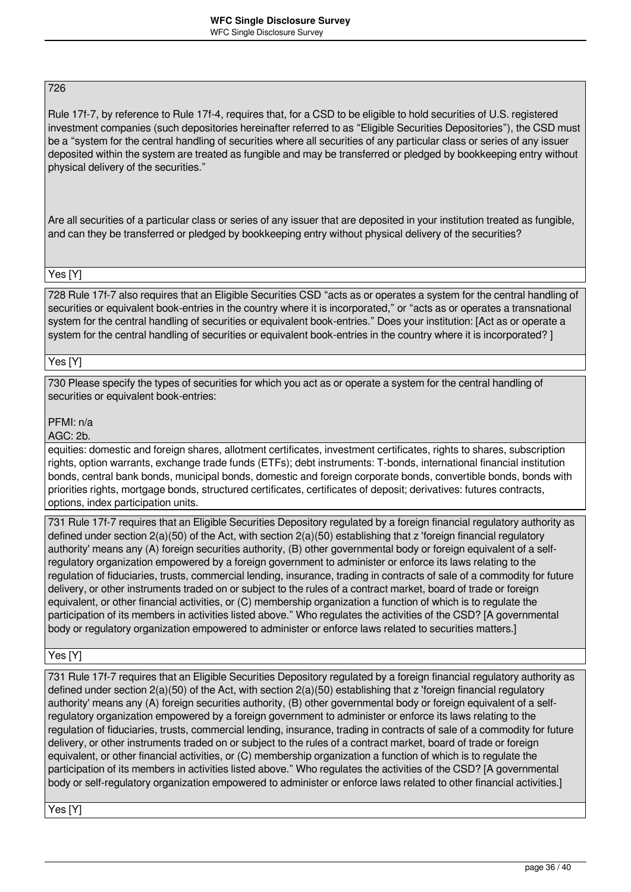### 726

Rule 17f-7, by reference to Rule 17f-4, requires that, for a CSD to be eligible to hold securities of U.S. registered investment companies (such depositories hereinafter referred to as "Eligible Securities Depositories"), the CSD must be a "system for the central handling of securities where all securities of any particular class or series of any issuer deposited within the system are treated as fungible and may be transferred or pledged by bookkeeping entry without physical delivery of the securities."

Are all securities of a particular class or series of any issuer that are deposited in your institution treated as fungible, and can they be transferred or pledged by bookkeeping entry without physical delivery of the securities?

### Yes [Y]

728 Rule 17f-7 also requires that an Eligible Securities CSD "acts as or operates a system for the central handling of securities or equivalent book-entries in the country where it is incorporated," or "acts as or operates a transnational system for the central handling of securities or equivalent book-entries." Does your institution: [Act as or operate a system for the central handling of securities or equivalent book-entries in the country where it is incorporated? ]

### Yes [Y]

730 Please specify the types of securities for which you act as or operate a system for the central handling of securities or equivalent book-entries:

### PFMI: n/a

AGC: 2b.

equities: domestic and foreign shares, allotment certificates, investment certificates, rights to shares, subscription rights, option warrants, exchange trade funds (ETFs); debt instruments: T-bonds, international financial institution bonds, central bank bonds, municipal bonds, domestic and foreign corporate bonds, convertible bonds, bonds with priorities rights, mortgage bonds, structured certificates, certificates of deposit; derivatives: futures contracts, options, index participation units.

731 Rule 17f-7 requires that an Eligible Securities Depository regulated by a foreign financial regulatory authority as defined under section 2(a)(50) of the Act, with section 2(a)(50) establishing that z 'foreign financial regulatory authority' means any (A) foreign securities authority, (B) other governmental body or foreign equivalent of a selfregulatory organization empowered by a foreign government to administer or enforce its laws relating to the regulation of fiduciaries, trusts, commercial lending, insurance, trading in contracts of sale of a commodity for future delivery, or other instruments traded on or subject to the rules of a contract market, board of trade or foreign equivalent, or other financial activities, or (C) membership organization a function of which is to regulate the participation of its members in activities listed above." Who regulates the activities of the CSD? [A governmental body or regulatory organization empowered to administer or enforce laws related to securities matters.]

Yes [Y]

731 Rule 17f-7 requires that an Eligible Securities Depository regulated by a foreign financial regulatory authority as defined under section 2(a)(50) of the Act, with section 2(a)(50) establishing that z 'foreign financial regulatory authority' means any (A) foreign securities authority, (B) other governmental body or foreign equivalent of a selfregulatory organization empowered by a foreign government to administer or enforce its laws relating to the regulation of fiduciaries, trusts, commercial lending, insurance, trading in contracts of sale of a commodity for future delivery, or other instruments traded on or subject to the rules of a contract market, board of trade or foreign equivalent, or other financial activities, or (C) membership organization a function of which is to regulate the participation of its members in activities listed above." Who regulates the activities of the CSD? [A governmental body or self-regulatory organization empowered to administer or enforce laws related to other financial activities.]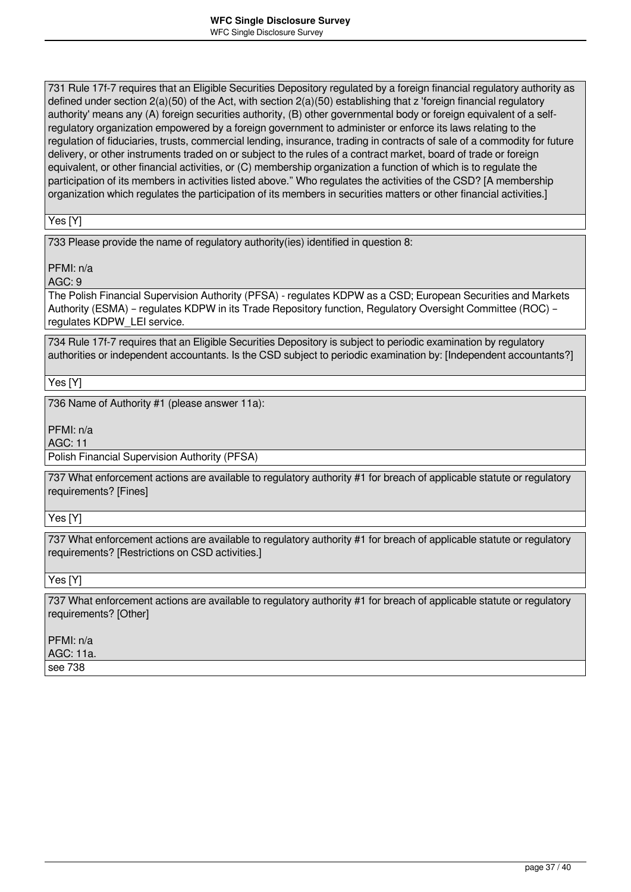731 Rule 17f-7 requires that an Eligible Securities Depository regulated by a foreign financial regulatory authority as defined under section 2(a)(50) of the Act, with section 2(a)(50) establishing that z 'foreign financial regulatory authority' means any (A) foreign securities authority, (B) other governmental body or foreign equivalent of a selfregulatory organization empowered by a foreign government to administer or enforce its laws relating to the regulation of fiduciaries, trusts, commercial lending, insurance, trading in contracts of sale of a commodity for future delivery, or other instruments traded on or subject to the rules of a contract market, board of trade or foreign equivalent, or other financial activities, or (C) membership organization a function of which is to regulate the participation of its members in activities listed above." Who regulates the activities of the CSD? [A membership organization which regulates the participation of its members in securities matters or other financial activities.]

Yes [Y]

733 Please provide the name of regulatory authority(ies) identified in question 8:

PFMI: n/a

AGC: 9

The Polish Financial Supervision Authority (PFSA) - regulates KDPW as a CSD; European Securities and Markets Authority (ESMA) – regulates KDPW in its Trade Repository function, Regulatory Oversight Committee (ROC) – regulates KDPW\_LEI service.

734 Rule 17f-7 requires that an Eligible Securities Depository is subject to periodic examination by regulatory authorities or independent accountants. Is the CSD subject to periodic examination by: [Independent accountants?]

Yes [Y]

736 Name of Authority #1 (please answer 11a):

PFMI: n/a

AGC: 11

Polish Financial Supervision Authority (PFSA)

737 What enforcement actions are available to regulatory authority #1 for breach of applicable statute or regulatory requirements? [Fines]

Yes [Y]

737 What enforcement actions are available to regulatory authority #1 for breach of applicable statute or regulatory requirements? [Restrictions on CSD activities.]

Yes [Y]

737 What enforcement actions are available to regulatory authority #1 for breach of applicable statute or regulatory requirements? [Other]

PFMI: n/a AGC: 11a.

see 738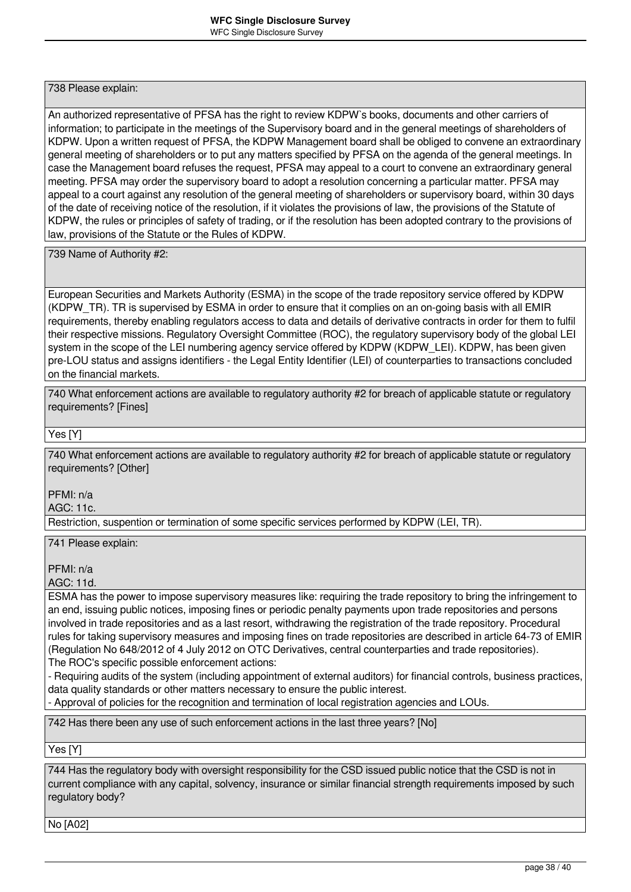738 Please explain:

An authorized representative of PFSA has the right to review KDPW`s books, documents and other carriers of information; to participate in the meetings of the Supervisory board and in the general meetings of shareholders of KDPW. Upon a written request of PFSA, the KDPW Management board shall be obliged to convene an extraordinary general meeting of shareholders or to put any matters specified by PFSA on the agenda of the general meetings. In case the Management board refuses the request, PFSA may appeal to a court to convene an extraordinary general meeting. PFSA may order the supervisory board to adopt a resolution concerning a particular matter. PFSA may appeal to a court against any resolution of the general meeting of shareholders or supervisory board, within 30 days of the date of receiving notice of the resolution, if it violates the provisions of law, the provisions of the Statute of KDPW, the rules or principles of safety of trading, or if the resolution has been adopted contrary to the provisions of law, provisions of the Statute or the Rules of KDPW.

739 Name of Authority #2:

European Securities and Markets Authority (ESMA) in the scope of the trade repository service offered by KDPW (KDPW\_TR). TR is supervised by ESMA in order to ensure that it complies on an on-going basis with all EMIR requirements, thereby enabling regulators access to data and details of derivative contracts in order for them to fulfil their respective missions. Regulatory Oversight Committee (ROC), the regulatory supervisory body of the global LEI system in the scope of the LEI numbering agency service offered by KDPW (KDPW\_LEI). KDPW, has been given pre-LOU status and assigns identifiers - the Legal Entity Identifier (LEI) of counterparties to transactions concluded on the financial markets.

740 What enforcement actions are available to regulatory authority #2 for breach of applicable statute or regulatory requirements? [Fines]

Yes [Y]

740 What enforcement actions are available to regulatory authority #2 for breach of applicable statute or regulatory requirements? [Other]

PFMI: n/a

AGC: 11c.

Restriction, suspention or termination of some specific services performed by KDPW (LEI, TR).

741 Please explain:

PFMI: n/a

AGC: 11d.

ESMA has the power to impose supervisory measures like: requiring the trade repository to bring the infringement to an end, issuing public notices, imposing fines or periodic penalty payments upon trade repositories and persons involved in trade repositories and as a last resort, withdrawing the registration of the trade repository. Procedural rules for taking supervisory measures and imposing fines on trade repositories are described in article 64-73 of EMIR (Regulation No 648/2012 of 4 July 2012 on OTC Derivatives, central counterparties and trade repositories).

The ROC's specific possible enforcement actions:

- Requiring audits of the system (including appointment of external auditors) for financial controls, business practices, data quality standards or other matters necessary to ensure the public interest.

- Approval of policies for the recognition and termination of local registration agencies and LOUs.

742 Has there been any use of such enforcement actions in the last three years? [No]

Yes [Y]

744 Has the regulatory body with oversight responsibility for the CSD issued public notice that the CSD is not in current compliance with any capital, solvency, insurance or similar financial strength requirements imposed by such regulatory body?

No [A02]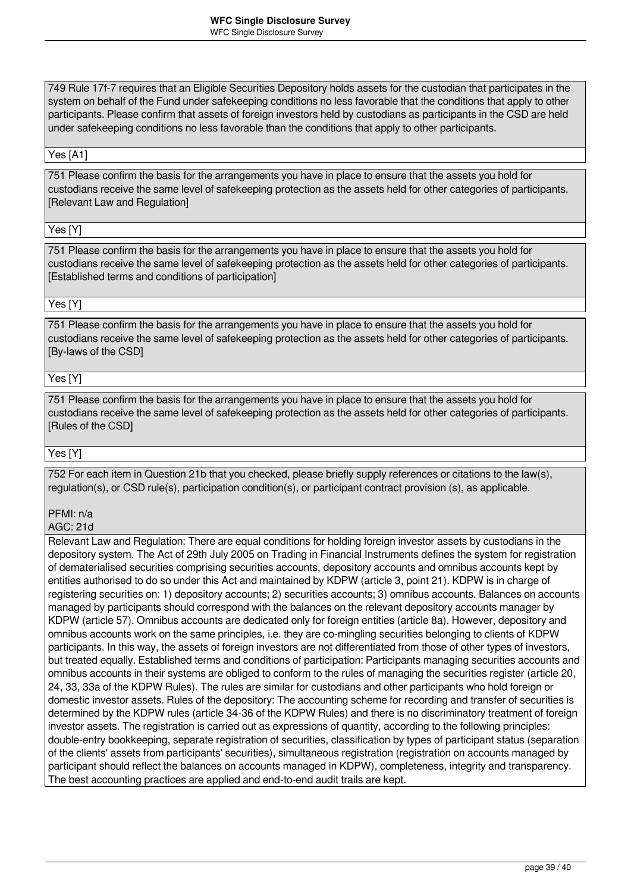749 Rule 17f-7 requires that an Eligible Securities Depository holds assets for the custodian that participates in the system on behalf of the Fund under safekeeping conditions no less favorable that the conditions that apply to other participants. Please confirm that assets of foreign investors held by custodians as participants in the CSD are held under safekeeping conditions no less favorable than the conditions that apply to other participants.

#### Yes [A1]

751 Please confirm the basis for the arrangements you have in place to ensure that the assets you hold for custodians receive the same level of safekeeping protection as the assets held for other categories of participants. [Relevant Law and Regulation]

Yes [Y]

751 Please confirm the basis for the arrangements you have in place to ensure that the assets you hold for custodians receive the same level of safekeeping protection as the assets held for other categories of participants. [Established terms and conditions of participation]

### Yes [Y]

751 Please confirm the basis for the arrangements you have in place to ensure that the assets you hold for custodians receive the same level of safekeeping protection as the assets held for other categories of participants. [By-laws of the CSD]

#### Yes [Y]

751 Please confirm the basis for the arrangements you have in place to ensure that the assets you hold for custodians receive the same level of safekeeping protection as the assets held for other categories of participants. [Rules of the CSD]

Yes [Y]

752 For each item in Question 21b that you checked, please briefly supply references or citations to the law(s), regulation(s), or CSD rule(s), participation condition(s), or participant contract provision (s), as applicable.

### PFMI: n/a

AGC: 21d

Relevant Law and Regulation: There are equal conditions for holding foreign investor assets by custodians in the depository system. The Act of 29th July 2005 on Trading in Financial Instruments defines the system for registration of dematerialised securities comprising securities accounts, depository accounts and omnibus accounts kept by entities authorised to do so under this Act and maintained by KDPW (article 3, point 21). KDPW is in charge of registering securities on: 1) depository accounts; 2) securities accounts; 3) omnibus accounts. Balances on accounts managed by participants should correspond with the balances on the relevant depository accounts manager by KDPW (article 57). Omnibus accounts are dedicated only for foreign entities (article 8a). However, depository and omnibus accounts work on the same principles, i.e. they are co-mingling securities belonging to clients of KDPW participants. In this way, the assets of foreign investors are not differentiated from those of other types of investors, but treated equally. Established terms and conditions of participation: Participants managing securities accounts and omnibus accounts in their systems are obliged to conform to the rules of managing the securities register (article 20, 24, 33, 33a of the KDPW Rules). The rules are similar for custodians and other participants who hold foreign or domestic investor assets. Rules of the depository: The accounting scheme for recording and transfer of securities is determined by the KDPW rules (article 34-36 of the KDPW Rules) and there is no discriminatory treatment of foreign investor assets. The registration is carried out as expressions of quantity, according to the following principles: double-entry bookkeeping, separate registration of securities, classification by types of participant status (separation of the clients' assets from participants' securities), simultaneous registration (registration on accounts managed by participant should reflect the balances on accounts managed in KDPW), completeness, integrity and transparency. The best accounting practices are applied and end-to-end audit trails are kept.